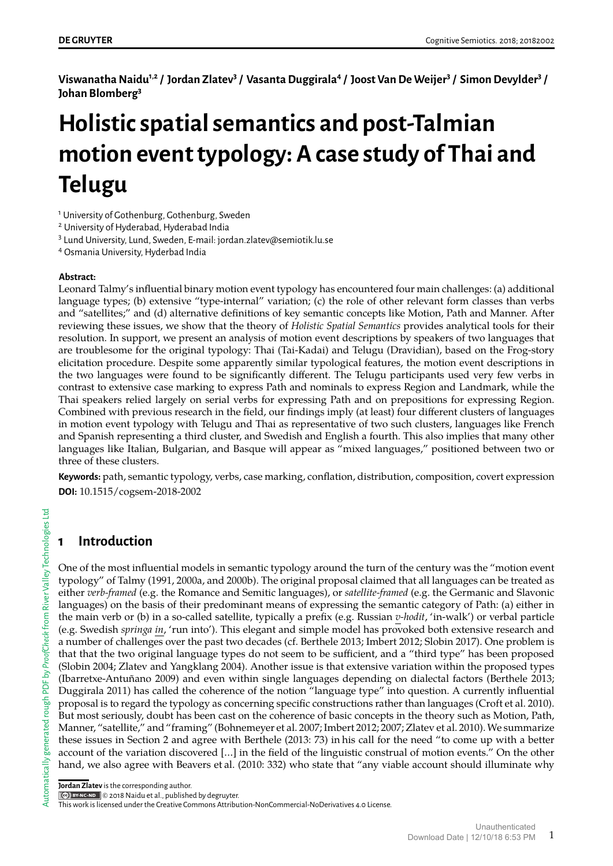**Viswanatha Naidu1,2 / Jordan Zlatev<sup>3</sup> / Vasanta Duggirala<sup>4</sup> / Joost Van De Weijer<sup>3</sup> / Simon Devylder<sup>3</sup> / Johan Blomberg<sup>3</sup>**

# **Holistic spatial semantics and post-Talmian motion event typology: A case study of Thai and Telugu**

<sup>1</sup> University of Gothenburg, Gothenburg, Sweden

<sup>2</sup> University of Hyderabad, Hyderabad India

3 Lund University, Lund, Sweden, E-mail: jordan.zlatev@semiotik.lu.se

<sup>4</sup> Osmania University, Hyderbad India

## **Abstract:**

Leonard Talmy's influential binary motion event typology has encountered four main challenges: (a) additional language types; (b) extensive "type-internal" variation; (c) the role of other relevant form classes than verbs and "satellites;" and (d) alternative definitions of key semantic concepts like Motion, Path and Manner. After reviewing these issues, we show that the theory of *Holistic Spatial Semantics* provides analytical tools for their resolution. In support, we present an analysis of motion event descriptions by speakers of two languages that are troublesome for the original typology: Thai (Tai-Kadai) and Telugu (Dravidian), based on the Frog-story elicitation procedure. Despite some apparently similar typological features, the motion event descriptions in the two languages were found to be significantly different. The Telugu participants used very few verbs in contrast to extensive case marking to express Path and nominals to express Region and Landmark, while the Thai speakers relied largely on serial verbs for expressing Path and on prepositions for expressing Region. Combined with previous research in the field, our findings imply (at least) four different clusters of languages in motion event typology with Telugu and Thai as representative of two such clusters, languages like French and Spanish representing a third cluster, and Swedish and English a fourth. This also implies that many other languages like Italian, Bulgarian, and Basque will appear as "mixed languages," positioned between two or three of these clusters.

**Keywords:** path, semantic typology, verbs, case marking, conflation, distribution, composition, covert expression **DOI:** 10.1515/cogsem-2018-2002

# **1 Introduction**

One of the most influential models in semantic typology around the turn of the century was the "motion event typology" of Talmy (1991, 2000a, and 2000b). The original proposal claimed that all languages can be treated as either *verb-framed* (e.g. the Romance and Semitic languages), or *satellite-framed* (e.g. the Germanic and Slavonic languages) on the basis of their predominant means of expressing the semantic category of Path: (a) either in the main verb or (b) in a so-called satellite, typically a prefix (e.g. Russian *v-hodit*, 'in-walk') or verbal particle (e.g. Swedish *springa in*, 'run into'). This elegant and simple model has provoked both extensive research and a number of challenges over the past two decades (cf. Berthele 2013; Imbert 2012; Slobin 2017). One problem is that that the two original language types do not seem to be sufficient, and a "third type" has been proposed (Slobin 2004; Zlatev and Yangklang 2004). Another issue is that extensive variation within the proposed types (Ibarretxe-Antuñano 2009) and even within single languages depending on dialectal factors (Berthele 2013; Duggirala 2011) has called the coherence of the notion "language type" into question. A currently influential proposal is to regard the typology as concerning specific constructions rather than languages (Croft et al. 2010). But most seriously, doubt has been cast on the coherence of basic concepts in the theory such as Motion, Path, Manner, "satellite," and "framing" (Bohnemeyer et al. 2007; Imbert 2012; 2007; Zlatev et al. 2010). We summarize these issues in Section 2 and agree with Berthele (2013: 73) in his call for the need "to come up with a better account of the variation discovered […] in the field of the linguistic construal of motion events." On the other hand, we also agree with Beavers et al. (2010: 332) who state that "any viable account should illuminate why

**Jordan Zlatev** is the corresponding author.

<sup>© 2018</sup> Naidu et al., published by degruyter.

This work is licensed under the Creative Commons Attribution-NonCommercial-NoDerivatives 4.0 License.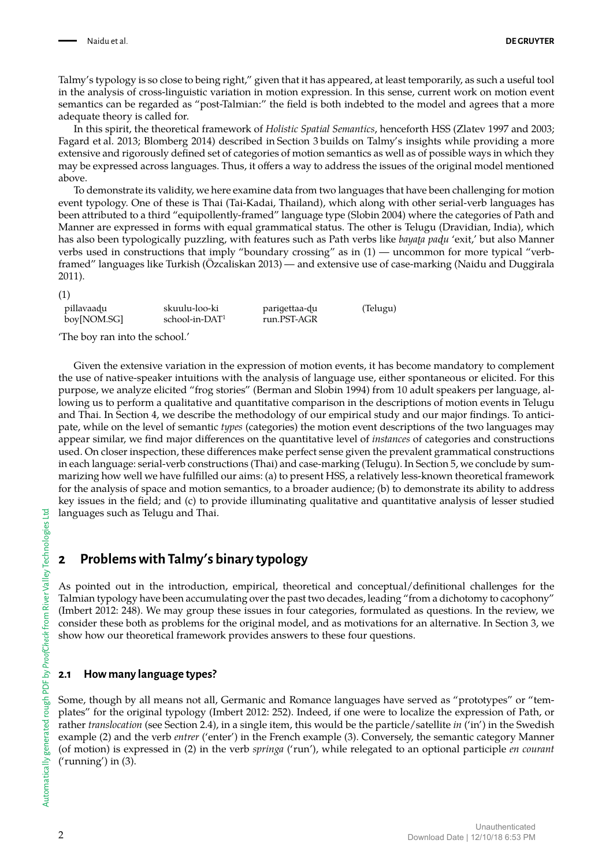Talmy's typology is so close to being right," given that it has appeared, at least temporarily, as such a useful tool in the analysis of cross-linguistic variation in motion expression. In this sense, current work on motion event semantics can be regarded as "post-Talmian:" the field is both indebted to the model and agrees that a more adequate theory is called for.

In this spirit, the theoretical framework of *Holistic Spatial Semantics*, henceforth HSS (Zlatev 1997 and 2003; Fagard et al. 2013; Blomberg 2014) described in Section 3 builds on Talmy's insights while providing a more extensive and rigorously defined set of categories of motion semantics as well as of possible ways in which they may be expressed across languages. Thus, it offers a way to address the issues of the original model mentioned above.

To demonstrate its validity, we here examine data from two languages that have been challenging for motion event typology. One of these is Thai (Tai-Kadai, Thailand), which along with other serial-verb languages has been attributed to a third "equipollently-framed" language type (Slobin 2004) where the categories of Path and Manner are expressed in forms with equal grammatical status. The other is Telugu (Dravidian, India), which has also been typologically puzzling, with features such as Path verbs like *bayaʈa paɖu* 'exit,' but also Manner verbs used in constructions that imply "boundary crossing" as in (1) — uncommon for more typical "verbframed" languages like Turkish (Özcaliskan 2013) — and extensive use of case-marking (Naidu and Duggirala 2011).

#### $(1)$

| $\mathbf{v}$              |                                             |                              |          |
|---------------------------|---------------------------------------------|------------------------------|----------|
| pillavaadu<br>boy[NOM.SG] | skuulu-loo-ki<br>school-in-DAT <sup>1</sup> | parigettaa-du<br>run.PST-AGR | (Telugu) |
|                           |                                             |                              |          |

'The boy ran into the school.'

Given the extensive variation in the expression of motion events, it has become mandatory to complement the use of native-speaker intuitions with the analysis of language use, either spontaneous or elicited. For this purpose, we analyze elicited "frog stories" (Berman and Slobin 1994) from 10 adult speakers per language, allowing us to perform a qualitative and quantitative comparison in the descriptions of motion events in Telugu and Thai. In Section 4, we describe the methodology of our empirical study and our major findings. To anticipate, while on the level of semantic *types* (categories) the motion event descriptions of the two languages may appear similar, we find major differences on the quantitative level of *instances* of categories and constructions used. On closer inspection, these differences make perfect sense given the prevalent grammatical constructions in each language: serial-verb constructions (Thai) and case-marking (Telugu). In Section 5, we conclude by summarizing how well we have fulfilled our aims: (a) to present HSS, a relatively less-known theoretical framework for the analysis of space and motion semantics, to a broader audience; (b) to demonstrate its ability to address key issues in the field; and (c) to provide illuminating qualitative and quantitative analysis of lesser studied languages such as Telugu and Thai.

# **2 Problems with Talmy**'**s binary typology**

As pointed out in the introduction, empirical, theoretical and conceptual/definitional challenges for the Talmian typology have been accumulating over the past two decades, leading "from a dichotomy to cacophony" (Imbert 2012: 248). We may group these issues in four categories, formulated as questions. In the review, we consider these both as problems for the original model, and as motivations for an alternative. In Section 3, we show how our theoretical framework provides answers to these four questions.

## **2.1 How many language types?**

Some, though by all means not all, Germanic and Romance languages have served as "prototypes" or "templates" for the original typology (Imbert 2012: 252). Indeed, if one were to localize the expression of Path, or rather *translocation* (see Section 2.4), in a single item, this would be the particle/satellite *in* ('in') in the Swedish example (2) and the verb *entrer* ('enter') in the French example (3). Conversely, the semantic category Manner (of motion) is expressed in (2) in the verb *springa* ('run'), while relegated to an optional participle *en courant*  $('running')$  in  $(3)$ .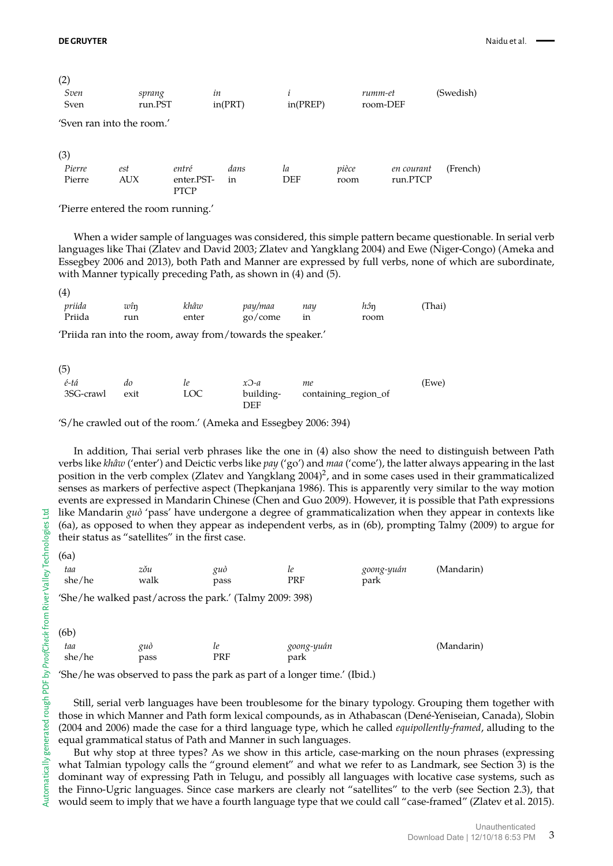| (2)<br>Sven<br>Sven | sprang<br>run.PST         |                     | in<br>in(PRT) | ĺ<br>in(PREF) |       | rumm-et<br>room-DEF    | (Swedish) |
|---------------------|---------------------------|---------------------|---------------|---------------|-------|------------------------|-----------|
|                     | 'Sven ran into the room.' |                     |               |               |       |                        |           |
| (3)                 |                           |                     |               |               |       |                        |           |
| Pierre<br>Pierre    | est<br>AUX                | entré<br>enter.PST- | dans<br>in    | la<br>DEF     | pièce | en courant<br>run.PTCP | (French)  |
|                     |                           | <b>PTCP</b>         |               |               | room  |                        |           |

'Pierre entered the room running.'

When a wider sample of languages was considered, this simple pattern became questionable. In serial verb languages like Thai (Zlatev and David 2003; Zlatev and Yangklang 2004) and Ewe (Niger-Congo) (Ameka and Essegbey 2006 and 2013), both Path and Manner are expressed by full verbs, none of which are subordinate, with Manner typically preceding Path, as shown in (4) and (5).

| (4)    |     |       |         |     |      |        |
|--------|-----|-------|---------|-----|------|--------|
| priida | wîn | khâw  | pay/maa | nay | hôn  | 'Thai) |
| Priida | run | enter | go/come | ın  | room |        |
| $\sim$ |     |       |         |     |      |        |

'Priida ran into the room, away from/towards the speaker.'

| (5)               |            |           |                                       |                            |       |
|-------------------|------------|-----------|---------------------------------------|----------------------------|-------|
| é-tá<br>3SG-crawl | dο<br>exit | le<br>LOC | $x$ $\bigcirc$ -a<br>building-<br>DEF | me<br>containing_region_of | (Ewe) |

'S/he crawled out of the room.' (Ameka and Essegbey 2006: 394)

In addition, Thai serial verb phrases like the one in (4) also show the need to distinguish between Path verbs like *khâw* ('enter') and Deictic verbs like *pay* ('go') and *maa* ('come'), the latter always appearing in the last position in the verb complex (Zlatev and Yangklang 2004) $^2$ , and in some cases used in their grammaticalized senses as markers of perfective aspect (Thepkanjana 1986). This is apparently very similar to the way motion events are expressed in Mandarin Chinese (Chen and Guo 2009). However, it is possible that Path expressions like Mandarin *guò* 'pass' have undergone a degree of grammaticalization when they appear in contexts like (6a), as opposed to when they appear as independent verbs, as in (6b), prompting Talmy (2009) to argue for their status as "satellites" in the first case.

| (6a)          |             |                                                         |                    |                    |            |
|---------------|-------------|---------------------------------------------------------|--------------------|--------------------|------------|
| taa<br>she/he | zŏu<br>walk | guò<br>pass                                             | le<br>PRF          | goong-yuán<br>park | (Mandarin) |
|               |             | 'She/he walked past/across the park.' (Talmy 2009: 398) |                    |                    |            |
| (6b)          |             |                                                         |                    |                    |            |
| taa<br>she/he | guò<br>pass | le<br>PRF                                               | goong-yuán<br>park |                    | (Mandarin) |

'She/he was observed to pass the park as part of a longer time.' (Ibid.)

Still, serial verb languages have been troublesome for the binary typology. Grouping them together with those in which Manner and Path form lexical compounds, as in Athabascan (Dené-Yeniseian, Canada), Slobin (2004 and 2006) made the case for a third language type, which he called *equipollently-framed*, alluding to the equal grammatical status of Path and Manner in such languages.

But why stop at three types? As we show in this article, case-marking on the noun phrases (expressing what Talmian typology calls the "ground element" and what we refer to as Landmark, see Section 3) is the dominant way of expressing Path in Telugu, and possibly all languages with locative case systems, such as the Finno-Ugric languages. Since case markers are clearly not "satellites" to the verb (see Section 2.3), that would seem to imply that we have a fourth language type that we could call "case-framed" (Zlatev et al. 2015).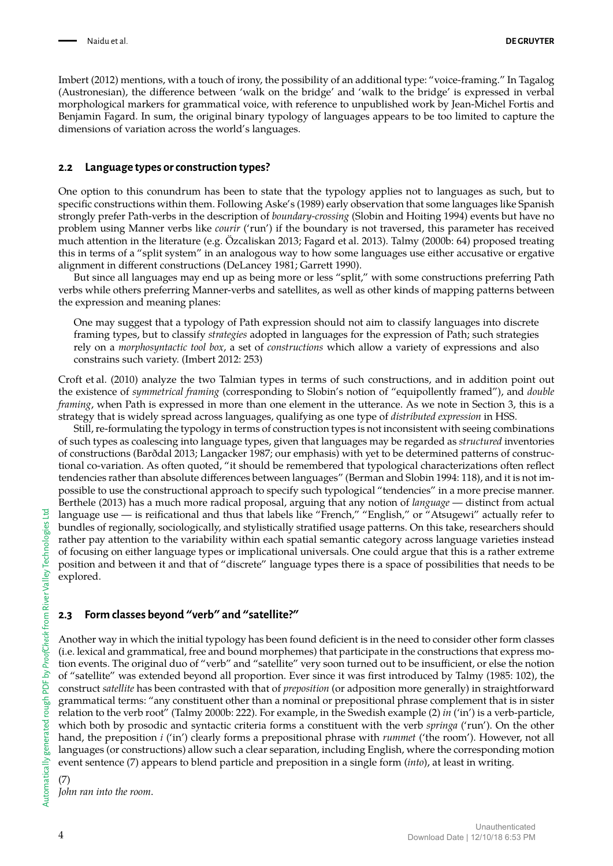Imbert (2012) mentions, with a touch of irony, the possibility of an additional type: "voice-framing." In Tagalog (Austronesian), the difference between 'walk on the bridge' and 'walk to the bridge' is expressed in verbal morphological markers for grammatical voice, with reference to unpublished work by Jean-Michel Fortis and Benjamin Fagard. In sum, the original binary typology of languages appears to be too limited to capture the dimensions of variation across the world's languages.

## **2.2 Language types or construction types?**

One option to this conundrum has been to state that the typology applies not to languages as such, but to specific constructions within them. Following Aske's (1989) early observation that some languages like Spanish strongly prefer Path-verbs in the description of *boundary-crossing* (Slobin and Hoiting 1994) events but have no problem using Manner verbs like *courir* ('run') if the boundary is not traversed, this parameter has received much attention in the literature (e.g. Özcaliskan 2013; Fagard et al. 2013). Talmy (2000b: 64) proposed treating this in terms of a "split system" in an analogous way to how some languages use either accusative or ergative alignment in different constructions (DeLancey 1981; Garrett 1990).

But since all languages may end up as being more or less "split," with some constructions preferring Path verbs while others preferring Manner-verbs and satellites, as well as other kinds of mapping patterns between the expression and meaning planes:

One may suggest that a typology of Path expression should not aim to classify languages into discrete framing types, but to classify *strategies* adopted in languages for the expression of Path; such strategies rely on a *morphosyntactic tool box*, a set of *constructions* which allow a variety of expressions and also constrains such variety. (Imbert 2012: 253)

Croft et al. (2010) analyze the two Talmian types in terms of such constructions, and in addition point out the existence of *symmetrical framing* (corresponding to Slobin's notion of "equipollently framed"), and *double framing*, when Path is expressed in more than one element in the utterance. As we note in Section 3, this is a strategy that is widely spread across languages, qualifying as one type of *distributed expression* in HSS.

Still, re-formulating the typology in terms of construction types is not inconsistent with seeing combinations of such types as coalescing into language types, given that languages may be regarded as *structured* inventories of constructions (Barðdal 2013; Langacker 1987; our emphasis) with yet to be determined patterns of constructional co-variation. As often quoted, "it should be remembered that typological characterizations often reflect tendencies rather than absolute differences between languages" (Berman and Slobin 1994: 118), and it is not impossible to use the constructional approach to specify such typological "tendencies" in a more precise manner. Berthele (2013) has a much more radical proposal, arguing that any notion of *language* — distinct from actual language use — is reificational and thus that labels like "French," "English," or "Atsugewi" actually refer to bundles of regionally, sociologically, and stylistically stratified usage patterns. On this take, researchers should rather pay attention to the variability within each spatial semantic category across language varieties instead of focusing on either language types or implicational universals. One could argue that this is a rather extreme position and between it and that of "discrete" language types there is a space of possibilities that needs to be explored.

# **2.3 Form classes beyond** "**verb**" **and** "**satellite?**"

Another way in which the initial typology has been found deficient is in the need to consider other form classes (i.e. lexical and grammatical, free and bound morphemes) that participate in the constructions that express motion events. The original duo of "verb" and "satellite" very soon turned out to be insufficient, or else the notion of "satellite" was extended beyond all proportion. Ever since it was first introduced by Talmy (1985: 102), the construct *satellite* has been contrasted with that of *preposition* (or adposition more generally) in straightforward grammatical terms: "any constituent other than a nominal or prepositional phrase complement that is in sister relation to the verb root" (Talmy 2000b: 222). For example, in the Swedish example (2) *in* ('in') is a verb-particle, which both by prosodic and syntactic criteria forms a constituent with the verb *springa* ('run'). On the other hand, the preposition *i* ('in') clearly forms a prepositional phrase with *rummet* ('the room'). However, not all languages (or constructions) allow such a clear separation, including English, where the corresponding motion event sentence (7) appears to blend particle and preposition in a single form (*into*), at least in writing.

(7) *John ran into the room*.

[Automatically](http://rivervalleytechnologies.com/products/) generated rough PDF by *ProofCheck* from River Valley Technologies Ltd Automatically generated rough PDF by ProofCheck from River Valley Technologies

모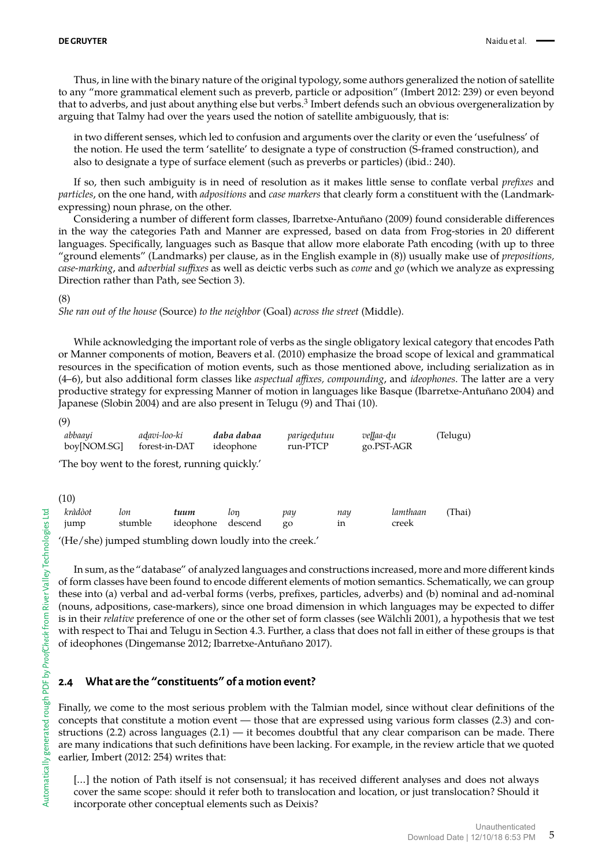Thus, in line with the binary nature of the original typology, some authors generalized the notion of satellite to any "more grammatical element such as preverb, particle or adposition" (Imbert 2012: 239) or even beyond that to adverbs, and just about anything else but verbs. $^3$  Imbert defends such an obvious overgeneralization by arguing that Talmy had over the years used the notion of satellite ambiguously, that is:

in two different senses, which led to confusion and arguments over the clarity or even the 'usefulness' of the notion. He used the term 'satellite' to designate a type of construction (S-framed construction), and also to designate a type of surface element (such as preverbs or particles) (ibid.: 240).

If so, then such ambiguity is in need of resolution as it makes little sense to conflate verbal *prefixes* and *particles*, on the one hand, with *adpositions* and *case markers* that clearly form a constituent with the (Landmarkexpressing) noun phrase, on the other.

Considering a number of different form classes, Ibarretxe-Antuñano (2009) found considerable differences in the way the categories Path and Manner are expressed, based on data from Frog-stories in 20 different languages. Specifically, languages such as Basque that allow more elaborate Path encoding (with up to three "ground elements" (Landmarks) per clause, as in the English example in (8)) usually make use of *prepositions, case-marking*, and *adverbial suffixes* as well as deictic verbs such as *come* and *go* (which we analyze as expressing Direction rather than Path, see Section 3).

(8)

*She ran out of the house* (Source) *to the neighbor* (Goal) *across the street* (Middle).

While acknowledging the important role of verbs as the single obligatory lexical category that encodes Path or Manner components of motion, Beavers et al. (2010) emphasize the broad scope of lexical and grammatical resources in the specification of motion events, such as those mentioned above, including serialization as in (4–6), but also additional form classes like *aspectual affixes, compounding*, and *ideophones*. The latter are a very productive strategy for expressing Manner of motion in languages like Basque (Ibarretxe-Antuñano 2004) and Japanese (Slobin 2004) and are also present in Telugu (9) and Thai (10).

| ×                      |   |
|------------------------|---|
| ×<br>I<br>۰.<br>٧<br>v | ٦ |

 $(10)$ 

| abbaayi     | adavi-loo-ki  | daba dabaa | parigedutuu | ve]]aa-du  | (Telugu) |
|-------------|---------------|------------|-------------|------------|----------|
| boy[NOM.SG] | forest-in-DAT | ideophone  | run-PTCP    | go.PST-AGR |          |
|             |               |            |             |            |          |

'The boy went to the forest, running quickly.'

| (1V)    |     |                              |     |     |     |          |        |
|---------|-----|------------------------------|-----|-----|-----|----------|--------|
| kràdòot | lon | tuum                         | lon | pay | nay | lamthaan | (Thai) |
| jump    |     | stumble ideophone descend go |     |     | ın  | creek    |        |
|         |     |                              |     |     |     |          |        |

'(He/she) jumped stumbling down loudly into the creek.'

In sum, as the "database" of analyzed languages and constructions increased, more and more different kinds of form classes have been found to encode different elements of motion semantics. Schematically, we can group these into (a) verbal and ad-verbal forms (verbs, prefixes, particles, adverbs) and (b) nominal and ad-nominal (nouns, adpositions, case-markers), since one broad dimension in which languages may be expected to differ is in their *relative* preference of one or the other set of form classes (see Wälchli 2001), a hypothesis that we test with respect to Thai and Telugu in Section 4.3. Further, a class that does not fall in either of these groups is that of ideophones (Dingemanse 2012; Ibarretxe-Antuñano 2017).

## **2.4 What are the** "**constituents**" **of a motion event?**

Finally, we come to the most serious problem with the Talmian model, since without clear definitions of the concepts that constitute a motion event — those that are expressed using various form classes (2.3) and constructions (2.2) across languages  $(2.1)$  — it becomes doubtful that any clear comparison can be made. There are many indications that such definitions have been lacking. For example, in the review article that we quoted earlier, Imbert (2012: 254) writes that:

[...] the notion of Path itself is not consensual; it has received different analyses and does not always cover the same scope: should it refer both to translocation and location, or just translocation? Should it incorporate other conceptual elements such as Deixis?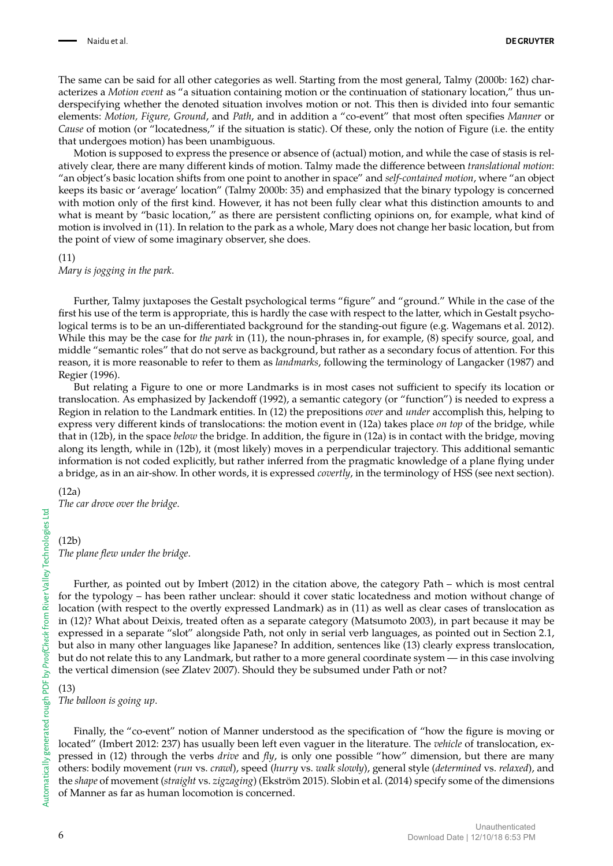The same can be said for all other categories as well. Starting from the most general, Talmy (2000b: 162) characterizes a *Motion event* as "a situation containing motion or the continuation of stationary location," thus underspecifying whether the denoted situation involves motion or not. This then is divided into four semantic elements: *Motion, Figure, Ground*, and *Path*, and in addition a "co-event" that most often specifies *Manner* or *Cause* of motion (or "locatedness," if the situation is static). Of these, only the notion of Figure (i.e. the entity that undergoes motion) has been unambiguous.

Motion is supposed to express the presence or absence of (actual) motion, and while the case of stasis is relatively clear, there are many different kinds of motion. Talmy made the difference between *translational motion*: "an object's basic location shifts from one point to another in space" and *self-contained motion*, where "an object keeps its basic or 'average' location" (Talmy 2000b: 35) and emphasized that the binary typology is concerned with motion only of the first kind. However, it has not been fully clear what this distinction amounts to and what is meant by "basic location," as there are persistent conflicting opinions on, for example, what kind of motion is involved in (11). In relation to the park as a whole, Mary does not change her basic location, but from the point of view of some imaginary observer, she does.

#### (11)

*Mary is jogging in the park*.

Further, Talmy juxtaposes the Gestalt psychological terms "figure" and "ground." While in the case of the first his use of the term is appropriate, this is hardly the case with respect to the latter, which in Gestalt psychological terms is to be an un-differentiated background for the standing-out figure (e.g. Wagemans et al. 2012). While this may be the case for *the park* in (11), the noun-phrases in, for example, (8) specify source, goal, and middle "semantic roles" that do not serve as background, but rather as a secondary focus of attention. For this reason, it is more reasonable to refer to them as *landmarks*, following the terminology of Langacker (1987) and Regier (1996).

But relating a Figure to one or more Landmarks is in most cases not sufficient to specify its location or translocation. As emphasized by Jackendoff (1992), a semantic category (or "function") is needed to express a Region in relation to the Landmark entities. In (12) the prepositions *over* and *under* accomplish this, helping to express very different kinds of translocations: the motion event in (12a) takes place *on top* of the bridge, while that in (12b), in the space *below* the bridge. In addition, the figure in (12a) is in contact with the bridge, moving along its length, while in (12b), it (most likely) moves in a perpendicular trajectory. This additional semantic information is not coded explicitly, but rather inferred from the pragmatic knowledge of a plane flying under a bridge, as in an air-show. In other words, it is expressed *covertly*, in the terminology of HSS (see next section).

#### (12a)

*The car drove over the bridge*.

## (12b)

*The plane flew under the bridge*.

Further, as pointed out by Imbert (2012) in the citation above, the category Path – which is most central for the typology – has been rather unclear: should it cover static locatedness and motion without change of location (with respect to the overtly expressed Landmark) as in (11) as well as clear cases of translocation as in (12)? What about Deixis, treated often as a separate category (Matsumoto 2003), in part because it may be expressed in a separate "slot" alongside Path, not only in serial verb languages, as pointed out in Section 2.1, but also in many other languages like Japanese? In addition, sentences like (13) clearly express translocation, but do not relate this to any Landmark, but rather to a more general coordinate system — in this case involving the vertical dimension (see Zlatev 2007). Should they be subsumed under Path or not?

(13)

*The balloon is going up*.

Finally, the "co-event" notion of Manner understood as the specification of "how the figure is moving or located" (Imbert 2012: 237) has usually been left even vaguer in the literature. The *vehicle* of translocation, expressed in (12) through the verbs *drive* and *fly*, is only one possible "how" dimension, but there are many others: bodily movement (*run* vs. *crawl*), speed (*hurry* vs. *walk slowly*), general style (*determined* vs. *relaxed*), and the *shape* of movement (*straight* vs. *zigzaging*) (Ekström 2015). Slobin et al. (2014) specify some of the dimensions of Manner as far as human locomotion is concerned.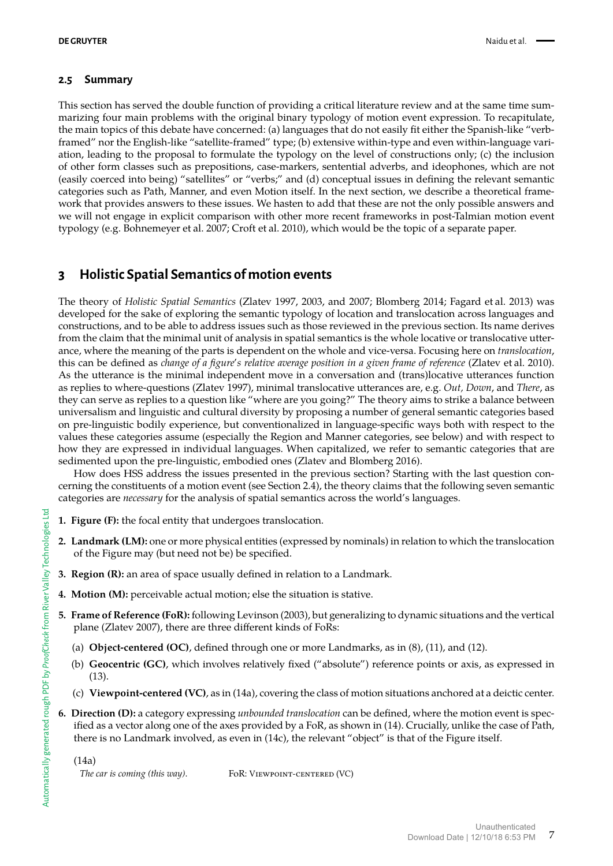## **2.5 Summary**

This section has served the double function of providing a critical literature review and at the same time summarizing four main problems with the original binary typology of motion event expression. To recapitulate, the main topics of this debate have concerned: (a) languages that do not easily fit either the Spanish-like "verbframed" nor the English-like "satellite-framed" type; (b) extensive within-type and even within-language variation, leading to the proposal to formulate the typology on the level of constructions only; (c) the inclusion of other form classes such as prepositions, case-markers, sentential adverbs, and ideophones, which are not (easily coerced into being) "satellites" or "verbs;" and (d) conceptual issues in defining the relevant semantic categories such as Path, Manner, and even Motion itself. In the next section, we describe a theoretical framework that provides answers to these issues. We hasten to add that these are not the only possible answers and we will not engage in explicit comparison with other more recent frameworks in post-Talmian motion event typology (e.g. Bohnemeyer et al. 2007; Croft et al. 2010), which would be the topic of a separate paper.

# **3 Holistic Spatial Semantics of motion events**

The theory of *Holistic Spatial Semantics* (Zlatev 1997, 2003, and 2007; Blomberg 2014; Fagard et al. 2013) was developed for the sake of exploring the semantic typology of location and translocation across languages and constructions, and to be able to address issues such as those reviewed in the previous section. Its name derives from the claim that the minimal unit of analysis in spatial semantics is the whole locative or translocative utterance, where the meaning of the parts is dependent on the whole and vice-versa. Focusing here on *translocation*, this can be defined as *change of a figure*'*s relative average position in a given frame of reference* (Zlatev et al. 2010). As the utterance is the minimal independent move in a conversation and (trans)locative utterances function as replies to where-questions (Zlatev 1997), minimal translocative utterances are, e.g. *Out, Down*, and *There*, as they can serve as replies to a question like "where are you going?" The theory aims to strike a balance between universalism and linguistic and cultural diversity by proposing a number of general semantic categories based on pre-linguistic bodily experience, but conventionalized in language-specific ways both with respect to the values these categories assume (especially the Region and Manner categories, see below) and with respect to how they are expressed in individual languages. When capitalized, we refer to semantic categories that are sedimented upon the pre-linguistic, embodied ones (Zlatev and Blomberg 2016).

How does HSS address the issues presented in the previous section? Starting with the last question concerning the constituents of a motion event (see Section 2.4), the theory claims that the following seven semantic categories are *necessary* for the analysis of spatial semantics across the world's languages.

- **1. Figure (F):** the focal entity that undergoes translocation.
- **2. Landmark (LM):** one or more physical entities (expressed by nominals) in relation to which the translocation of the Figure may (but need not be) be specified.
- **3. Region (R):** an area of space usually defined in relation to a Landmark.
- **4. Motion (M):** perceivable actual motion; else the situation is stative.
- **5. Frame of Reference (FoR):** following Levinson (2003), but generalizing to dynamic situations and the vertical plane (Zlatev 2007), there are three different kinds of FoRs:
	- (a) **Object-centered (OC)**, defined through one or more Landmarks, as in (8), (11), and (12).
	- (b) **Geocentric (GC)**, which involves relatively fixed ("absolute") reference points or axis, as expressed in (13).
	- (c) **Viewpoint-centered (VC)**, as in (14a), covering the class of motion situations anchored at a deictic center.
- **6. Direction (D):** a category expressing *unbounded translocation* can be defined, where the motion event is specified as a vector along one of the axes provided by a FoR, as shown in (14). Crucially, unlike the case of Path, there is no Landmark involved, as even in (14c), the relevant "object" is that of the Figure itself.

(14a)

[Automatically](http://rivervalleytechnologies.com/products/) generated rough PDF by *ProofCheck* from River Valley Technologies Ltd

Automatically generated rough PDF by *ProofCheck* from River Valley Technologies Ltd

*The car is coming (this way)*. FoR: VIEWPOINT-CENTERED (VC)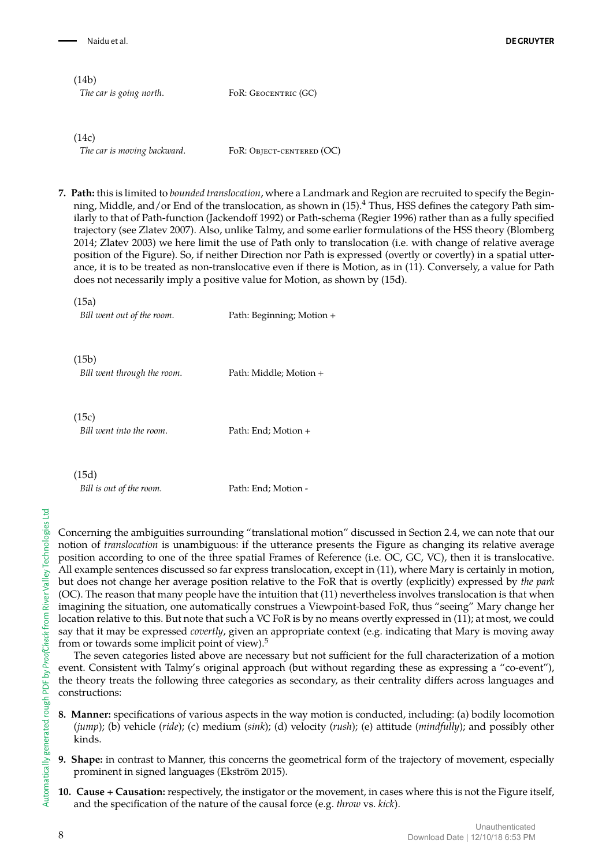(14b) The car is going north. FoR: GEOCENTRIC (GC)

 $(14c)$ The car is moving backward. FoR: Object-centered (OC)

**7. Path:** this is limited to *bounded translocation*, where a Landmark and Region are recruited to specify the Beginning, Middle, and/or End of the translocation, as shown in (15).<sup>4</sup> Thus, HSS defines the category Path similarly to that of Path-function (Jackendoff 1992) or Path-schema (Regier 1996) rather than as a fully specified trajectory (see Zlatev 2007). Also, unlike Talmy, and some earlier formulations of the HSS theory (Blomberg 2014; Zlatev 2003) we here limit the use of Path only to translocation (i.e. with change of relative average position of the Figure). So, if neither Direction nor Path is expressed (overtly or covertly) in a spatial utterance, it is to be treated as non-translocative even if there is Motion, as in (11). Conversely, a value for Path does not necessarily imply a positive value for Motion, as shown by (15d).

(15a)

| 10a)                       |                           |
|----------------------------|---------------------------|
| Bill went out of the room. | Path: Beginning; Motion + |

(15b) *Bill went through the room*. Path: Middle; Motion +

(15c) *Bill went into the room*. Path: End; Motion +

(15d)

*Bill is out of the room*. Path: End; Motion -

Concerning the ambiguities surrounding "translational motion" discussed in Section 2.4, we can note that our notion of *translocation* is unambiguous: if the utterance presents the Figure as changing its relative average position according to one of the three spatial Frames of Reference (i.e. OC, GC, VC), then it is translocative. All example sentences discussed so far express translocation, except in (11), where Mary is certainly in motion, but does not change her average position relative to the FoR that is overtly (explicitly) expressed by *the park* (OC). The reason that many people have the intuition that (11) nevertheless involves translocation is that when imagining the situation, one automatically construes a Viewpoint-based FoR, thus "seeing" Mary change her location relative to this. But note that such a VC FoR is by no means overtly expressed in (11); at most, we could say that it may be expressed *covertly*, given an appropriate context (e.g. indicating that Mary is moving away from or towards some implicit point of view).<sup>5</sup>

The seven categories listed above are necessary but not sufficient for the full characterization of a motion event. Consistent with Talmy's original approach (but without regarding these as expressing a "co-event"), the theory treats the following three categories as secondary, as their centrality differs across languages and constructions:

- **8. Manner:** specifications of various aspects in the way motion is conducted, including: (a) bodily locomotion (*jump*); (b) vehicle (*ride*); (c) medium (*sink*); (d) velocity (*rush*); (e) attitude (*mindfully*); and possibly other kinds.
- **9. Shape:** in contrast to Manner, this concerns the geometrical form of the trajectory of movement, especially prominent in signed languages (Ekström 2015).
- **10. Cause + Causation:** respectively, the instigator or the movement, in cases where this is not the Figure itself, and the specification of the nature of the causal force (e.g. *throw* vs. *kick*).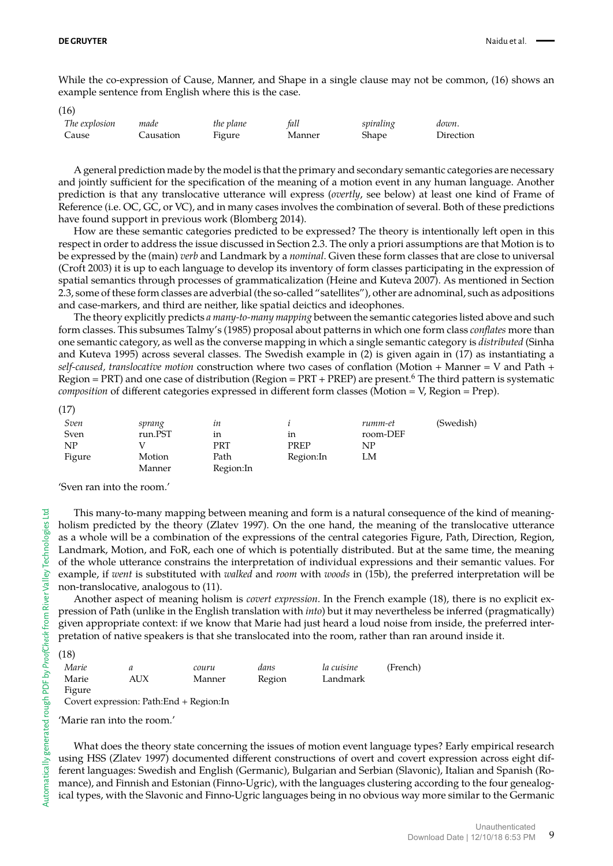While the co-expression of Cause, Manner, and Shape in a single clause may not be common, (16) shows an example sentence from English where this is the case.

(16)

| The explosion | made      | the plane | fall   | spiraling | down.            |
|---------------|-----------|-----------|--------|-----------|------------------|
| Cause         | Causation | Figure    | Manner | Shape     | <b>Direction</b> |

A general prediction made by the model is that the primary and secondary semantic categories are necessary and jointly sufficient for the specification of the meaning of a motion event in any human language. Another prediction is that any translocative utterance will express (*overtly*, see below) at least one kind of Frame of Reference (i.e. OC, GC, or VC), and in many cases involves the combination of several. Both of these predictions have found support in previous work (Blomberg 2014).

How are these semantic categories predicted to be expressed? The theory is intentionally left open in this respect in order to address the issue discussed in Section 2.3. The only a priori assumptions are that Motion is to be expressed by the (main) *verb* and Landmark by a *nominal*. Given these form classes that are close to universal (Croft 2003) it is up to each language to develop its inventory of form classes participating in the expression of spatial semantics through processes of grammaticalization (Heine and Kuteva 2007). As mentioned in Section 2.3, some of these form classes are adverbial (the so-called "satellites"), other are adnominal, such as adpositions and case-markers, and third are neither, like spatial deictics and ideophones.

The theory explicitly predicts *a many-to-many mapping* between the semantic categories listed above and such form classes. This subsumes Talmy's (1985) proposal about patterns in which one form class *conflates* more than one semantic category, as well as the converse mapping in which a single semantic category is *distributed* (Sinha and Kuteva 1995) across several classes. The Swedish example in (2) is given again in (17) as instantiating a *self-caused, translocative motion* construction where two cases of conflation (Motion + Manner = V and Path + Region =  $PRT$ ) and one case of distribution (Region =  $PRT + PREF$ ) are present.<sup>6</sup> The third pattern is systematic *composition* of different categories expressed in different form classes (Motion = V, Region = Prep).

| (17)   |         |           |           |               |           |
|--------|---------|-----------|-----------|---------------|-----------|
| Sven   | sprang  | in        |           | rumm-et       | (Swedish) |
| Sven   | run.PST | ın        | ın        | room-DEF      |           |
| NP     |         | PRT       | PREP      | $N\mathrm{P}$ |           |
| Figure | Motion  | Path      | Region:In | LM            |           |
|        | Manner  | Region:In |           |               |           |

'Sven ran into the room.'

This many-to-many mapping between meaning and form is a natural consequence of the kind of meaningholism predicted by the theory (Zlatev 1997). On the one hand, the meaning of the translocative utterance as a whole will be a combination of the expressions of the central categories Figure, Path, Direction, Region, Landmark, Motion, and FoR, each one of which is potentially distributed. But at the same time, the meaning of the whole utterance constrains the interpretation of individual expressions and their semantic values. For example, if *went* is substituted with *walked* and *room* with *woods* in (15b), the preferred interpretation will be non-translocative, analogous to (11).

Another aspect of meaning holism is *covert expression*. In the French example (18), there is no explicit expression of Path (unlike in the English translation with *into*) but it may nevertheless be inferred (pragmatically) given appropriate context: if we know that Marie had just heard a loud noise from inside, the preferred interpretation of native speakers is that she translocated into the room, rather than ran around inside it.

| (18)   |                                         |        |        |            |          |
|--------|-----------------------------------------|--------|--------|------------|----------|
| Marie  | a                                       | couru  | dans   | la cuisine | (French) |
| Marie  | AUX                                     | Manner | Region | Landmark   |          |
| Figure |                                         |        |        |            |          |
|        | Covert expression: Path:End + Region:In |        |        |            |          |
|        |                                         |        |        |            |          |

'Marie ran into the room.'

What does the theory state concerning the issues of motion event language types? Early empirical research using HSS (Zlatev 1997) documented different constructions of overt and covert expression across eight different languages: Swedish and English (Germanic), Bulgarian and Serbian (Slavonic), Italian and Spanish (Romance), and Finnish and Estonian (Finno-Ugric), with the languages clustering according to the four genealogical types, with the Slavonic and Finno-Ugric languages being in no obvious way more similar to the Germanic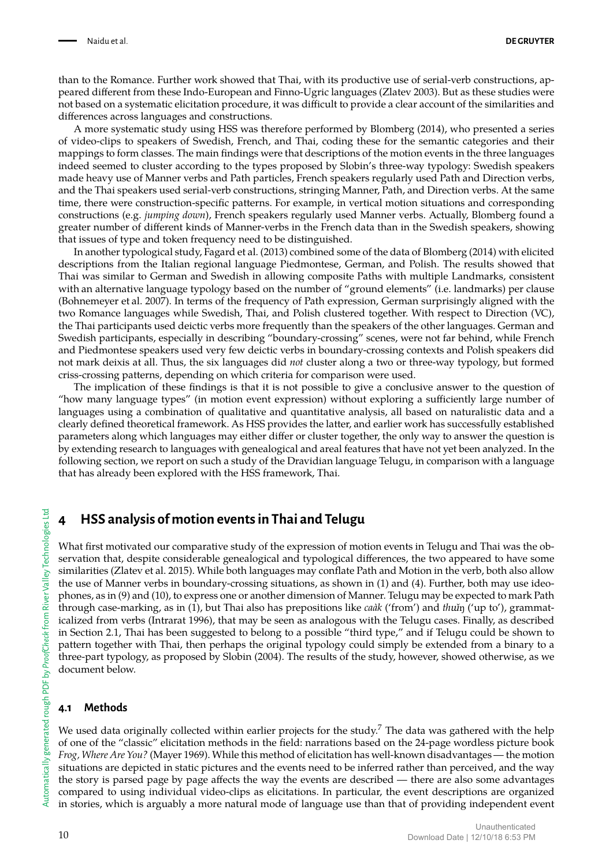than to the Romance. Further work showed that Thai, with its productive use of serial-verb constructions, appeared different from these Indo-European and Finno-Ugric languages (Zlatev 2003). But as these studies were not based on a systematic elicitation procedure, it was difficult to provide a clear account of the similarities and differences across languages and constructions.

A more systematic study using HSS was therefore performed by Blomberg (2014), who presented a series of video-clips to speakers of Swedish, French, and Thai, coding these for the semantic categories and their mappings to form classes. The main findings were that descriptions of the motion events in the three languages indeed seemed to cluster according to the types proposed by Slobin's three-way typology: Swedish speakers made heavy use of Manner verbs and Path particles, French speakers regularly used Path and Direction verbs, and the Thai speakers used serial-verb constructions, stringing Manner, Path, and Direction verbs. At the same time, there were construction-specific patterns. For example, in vertical motion situations and corresponding constructions (e.g. *jumping down*), French speakers regularly used Manner verbs. Actually, Blomberg found a greater number of different kinds of Manner-verbs in the French data than in the Swedish speakers, showing that issues of type and token frequency need to be distinguished.

In another typological study, Fagard et al. (2013) combined some of the data of Blomberg (2014) with elicited descriptions from the Italian regional language Piedmontese, German, and Polish. The results showed that Thai was similar to German and Swedish in allowing composite Paths with multiple Landmarks, consistent with an alternative language typology based on the number of "ground elements" (i.e. landmarks) per clause (Bohnemeyer et al. 2007). In terms of the frequency of Path expression, German surprisingly aligned with the two Romance languages while Swedish, Thai, and Polish clustered together. With respect to Direction (VC), the Thai participants used deictic verbs more frequently than the speakers of the other languages. German and Swedish participants, especially in describing "boundary-crossing" scenes, were not far behind, while French and Piedmontese speakers used very few deictic verbs in boundary-crossing contexts and Polish speakers did not mark deixis at all. Thus, the six languages did *not* cluster along a two or three-way typology, but formed criss-crossing patterns, depending on which criteria for comparison were used.

The implication of these findings is that it is not possible to give a conclusive answer to the question of "how many language types" (in motion event expression) without exploring a sufficiently large number of languages using a combination of qualitative and quantitative analysis, all based on naturalistic data and a clearly defined theoretical framework. As HSS provides the latter, and earlier work has successfully established parameters along which languages may either differ or cluster together, the only way to answer the question is by extending research to languages with genealogical and areal features that have not yet been analyzed. In the following section, we report on such a study of the Dravidian language Telugu, in comparison with a language that has already been explored with the HSS framework, Thai.

# **4 HSS analysis of motion events in Thai and Telugu**

What first motivated our comparative study of the expression of motion events in Telugu and Thai was the observation that, despite considerable genealogical and typological differences, the two appeared to have some similarities (Zlatev et al. 2015). While both languages may conflate Path and Motion in the verb, both also allow the use of Manner verbs in boundary-crossing situations, as shown in (1) and (4). Further, both may use ideophones, as in (9) and (10), to express one or another dimension of Manner. Telugu may be expected to mark Path through case-marking, as in (1), but Thai also has prepositions like *caàk* ('from') and *thɯ̌*ŋ ('up to'), grammaticalized from verbs (Intrarat 1996), that may be seen as analogous with the Telugu cases. Finally, as described in Section 2.1, Thai has been suggested to belong to a possible "third type," and if Telugu could be shown to pattern together with Thai, then perhaps the original typology could simply be extended from a binary to a three-part typology, as proposed by Slobin (2004). The results of the study, however, showed otherwise, as we document below.

### **4.1 Methods**

We used data originally collected within earlier projects for the study.<sup>7</sup> The data was gathered with the help of one of the "classic" elicitation methods in the field: narrations based on the 24-page wordless picture book *Frog, Where Are You?* (Mayer 1969). While this method of elicitation has well-known disadvantages — the motion situations are depicted in static pictures and the events need to be inferred rather than perceived, and the way the story is parsed page by page affects the way the events are described — there are also some advantages compared to using individual video-clips as elicitations. In particular, the event descriptions are organized in stories, which is arguably a more natural mode of language use than that of providing independent event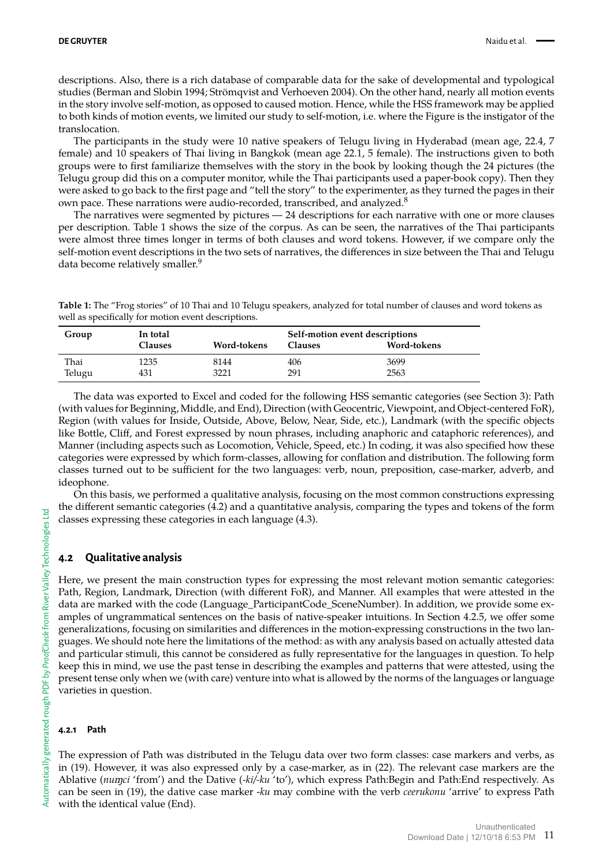descriptions. Also, there is a rich database of comparable data for the sake of developmental and typological studies (Berman and Slobin 1994; Strömqvist and Verhoeven 2004). On the other hand, nearly all motion events in the story involve self-motion, as opposed to caused motion. Hence, while the HSS framework may be applied to both kinds of motion events, we limited our study to self-motion, i.e. where the Figure is the instigator of the translocation.

The participants in the study were 10 native speakers of Telugu living in Hyderabad (mean age, 22.4, 7 female) and 10 speakers of Thai living in Bangkok (mean age 22.1, 5 female). The instructions given to both groups were to first familiarize themselves with the story in the book by looking though the 24 pictures (the Telugu group did this on a computer monitor, while the Thai participants used a paper-book copy). Then they were asked to go back to the first page and "tell the story" to the experimenter, as they turned the pages in their own pace. These narrations were audio-recorded, transcribed, and analyzed.<sup>8</sup>

The narratives were segmented by pictures — 24 descriptions for each narrative with one or more clauses per description. Table 1 shows the size of the corpus. As can be seen, the narratives of the Thai participants were almost three times longer in terms of both clauses and word tokens. However, if we compare only the self-motion event descriptions in the two sets of narratives, the differences in size between the Thai and Telugu data become relatively smaller.<sup>9</sup>

**Table 1:** The "Frog stories" of 10 Thai and 10 Telugu speakers, analyzed for total number of clauses and word tokens as well as specifically for motion event descriptions.

| Group  | In total |             | Self-motion event descriptions |             |
|--------|----------|-------------|--------------------------------|-------------|
|        | Clauses  | Word-tokens | Clauses                        | Word-tokens |
| Thai   | 1235     | 8144        | 406                            | 3699        |
| Telugu | 431      | 3221        | 291                            | 2563        |

The data was exported to Excel and coded for the following HSS semantic categories (see Section 3): Path (with values for Beginning, Middle, and End), Direction (with Geocentric, Viewpoint, and Object-centered FoR), Region (with values for Inside, Outside, Above, Below, Near, Side, etc.), Landmark (with the specific objects like Bottle, Cliff, and Forest expressed by noun phrases, including anaphoric and cataphoric references), and Manner (including aspects such as Locomotion, Vehicle, Speed, etc.) In coding, it was also specified how these categories were expressed by which form-classes, allowing for conflation and distribution. The following form classes turned out to be sufficient for the two languages: verb, noun, preposition, case-marker, adverb, and ideophone.

On this basis, we performed a qualitative analysis, focusing on the most common constructions expressing the different semantic categories (4.2) and a quantitative analysis, comparing the types and tokens of the form classes expressing these categories in each language (4.3).

## **4.2 Qualitative analysis**

Here, we present the main construction types for expressing the most relevant motion semantic categories: Path, Region, Landmark, Direction (with different FoR), and Manner. All examples that were attested in the data are marked with the code (Language\_ParticipantCode\_SceneNumber). In addition, we provide some examples of ungrammatical sentences on the basis of native-speaker intuitions. In Section 4.2.5, we offer some generalizations, focusing on similarities and differences in the motion-expressing constructions in the two languages. We should note here the limitations of the method: as with any analysis based on actually attested data and particular stimuli, this cannot be considered as fully representative for the languages in question. To help keep this in mind, we use the past tense in describing the examples and patterns that were attested, using the present tense only when we (with care) venture into what is allowed by the norms of the languages or language varieties in question.

#### **4.2.1 Path**

The expression of Path was distributed in the Telugu data over two form classes: case markers and verbs, as in (19). However, it was also expressed only by a case-marker, as in (22). The relevant case markers are the Ablative (*nuɱci* 'from') and the Dative (*-ki/-ku* 'to'), which express Path:Begin and Path:End respectively. As can be seen in (19), the dative case marker -*ku* may combine with the verb *ceerukonu* 'arrive' to express Path with the identical value (End).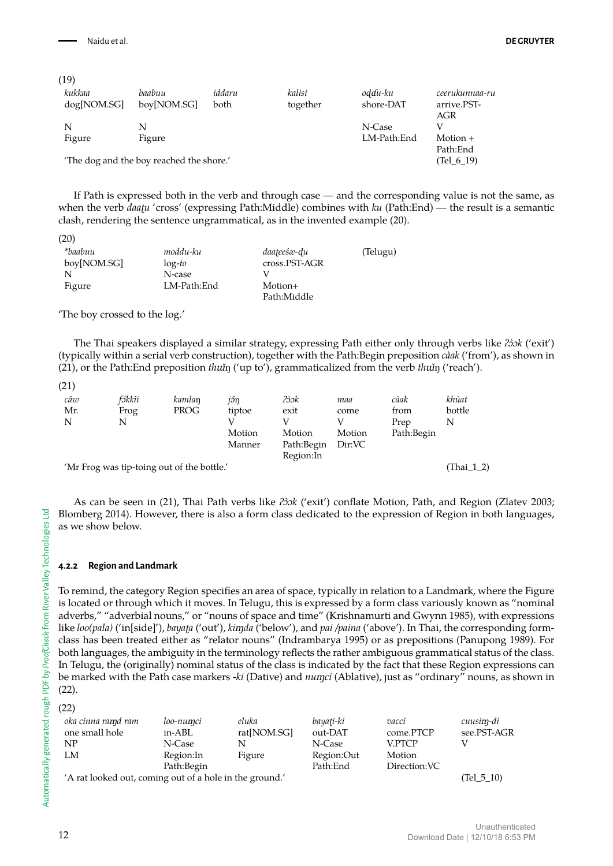| kukkaa<br>dog[NOM.SG] | baabuu<br>boy[NOM.SG]                  | iddaru<br>both | kalisi<br>together     | oddu-ku<br>shore-DAT  | ceerukunnaa-ru<br>arrive.PST-<br>AGR |
|-----------------------|----------------------------------------|----------------|------------------------|-----------------------|--------------------------------------|
| N<br>Figure           | N<br>Figure                            |                |                        | N-Case<br>LM-Path:End | Motion $+$                           |
|                       | The dog and the boy reached the shore. |                | Path:End<br>(Tel 6 19) |                       |                                      |

If Path is expressed both in the verb and through case — and the corresponding value is not the same, as when the verb *daaʈu* 'cross' (expressing Path:Middle) combines with *ku* (Path:End) — the result is a semantic clash, rendering the sentence ungrammatical, as in the invented example (20).

(20)

 $(19)$ 

| *baabuu     | moddu-ku    | daateeśæ-du   | (Telugu) |
|-------------|-------------|---------------|----------|
| boy[NOM.SG] | $log-to$    | cross.PST-AGR |          |
|             | N-case      |               |          |
| Figure      | LM-Path:End | Motion+       |          |
|             |             | Path:Middle   |          |

'The boy crossed to the log.'

The Thai speakers displayed a similar strategy, expressing Path either only through verbs like *ʔɔ̀ɔk* ('exit') (typically within a serial verb construction), together with the Path:Begin preposition *càak* ('from'), as shown in (21), or the Path:End preposition *thɯ̌*ŋ ('up to'), grammaticalized from the verb *thɯ̌*ŋ ('reach').

| (21) |        |                                            |        |            |        |            |            |
|------|--------|--------------------------------------------|--------|------------|--------|------------|------------|
| câw  | fókkìi | kamlan                                     | jôn    | ?э̀эk      | maa    | càak       | khùat      |
| Mr.  | Frog   | PROG                                       | tiptoe | exit       | come   | from       | bottle     |
| N    | N      |                                            |        |            |        | Prep       | N          |
|      |        |                                            | Motion | Motion     | Motion | Path:Begin |            |
|      |        |                                            | Manner | Path:Begin | Dir:VC |            |            |
|      |        |                                            |        | Region:In  |        |            |            |
|      |        | 'Mr Frog was tip-toing out of the bottle.' |        |            |        |            | (Thai_1_2) |
|      |        |                                            |        |            |        |            |            |

As can be seen in (21), Thai Path verbs like *ʔɔ̀ɔk* ('exit') conflate Motion, Path, and Region (Zlatev 2003; Blomberg 2014). However, there is also a form class dedicated to the expression of Region in both languages, as we show below.

#### **4.2.2 Region and Landmark**

To remind, the category Region specifies an area of space, typically in relation to a Landmark, where the Figure is located or through which it moves. In Telugu, this is expressed by a form class variously known as "nominal adverbs," "adverbial nouns," or "nouns of space and time" (Krishnamurti and Gwynn 1985), with expressions like *loo(pala)* ('in[side]'), *bayaʈa* ('out'), *kiɱda* ('below'), and *pai /paina* ('above'). In Thai, the corresponding formclass has been treated either as "relator nouns" (Indrambarya 1995) or as prepositions (Panupong 1989). For both languages, the ambiguity in the terminology reflects the rather ambiguous grammatical status of the class. In Telugu, the (originally) nominal status of the class is indicated by the fact that these Region expressions can be marked with the Path case markers -*ki* (Dative) and *numci* (Ablative), just as "ordinary" nouns, as shown in (22).

<sup>(22)</sup> *oka cinna raɱdffiram loo-nuɱci eluka bayaʈi-ki vacci cuusiɱ-di* one small hole in-ABL rat[NOM.SG] out-DAT come.PTCP see.PST-AGR<br>
NP N-Case N N-Case V.PTCP V NP N-Case N N-Case V.PTCP V LM Region:In Figure Region:Out Motion Path:Begin Path:End Direction:VC 'A rat looked out, coming out of a hole in the ground.' (Tel\_5\_10)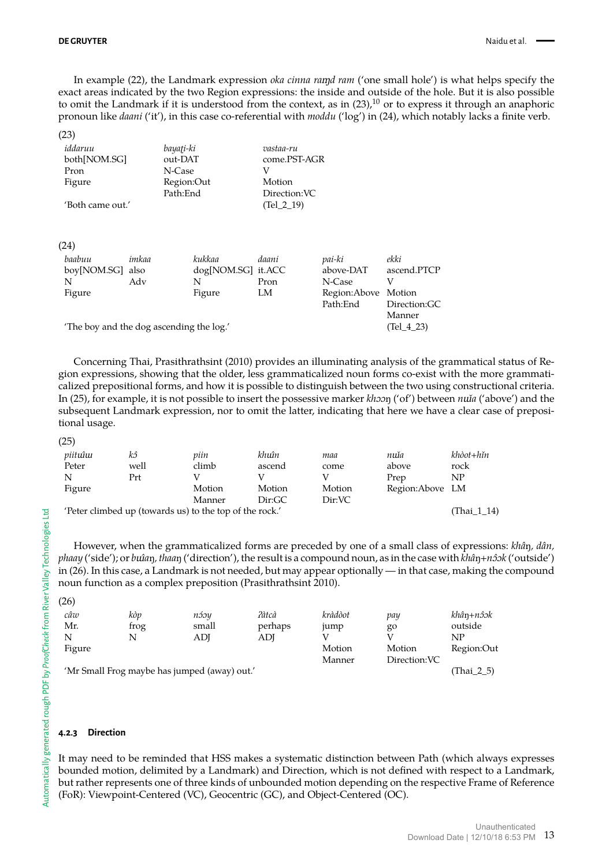In example (22), the Landmark expression *oka cinna rand ram* ('one small hole') is what helps specify the exact areas indicated by the two Region expressions: the inside and outside of the hole. But it is also possible to omit the Landmark if it is understood from the context, as in  $(23)$ ,<sup>10</sup> or to express it through an anaphoric pronoun like *daani* ('it'), in this case co-referential with *moddu* ('log') in (24), which notably lacks a finite verb.

(23)

| iddaruu          | bayati-ki  | vastaa-ru    |
|------------------|------------|--------------|
| both[NOM.SG]     | out-DAT    | come.PST-AGR |
| Pron             | N-Case     |              |
| Figure           | Region:Out | Motion       |
|                  | Path:End   | Direction:VC |
| 'Both came out.' |            | (Tel 2 19)   |
|                  |            |              |

| (24)                                    |              |                    |       |                      |              |
|-----------------------------------------|--------------|--------------------|-------|----------------------|--------------|
| baabuu                                  | imkaa        | kukkaa             | daani | pai-ki               | ekki         |
| boy[NOM.SG] also                        |              | dog[NOM.SG] it.ACC |       | above-DAT            | ascend.PTCP  |
| N                                       | Adv          | N                  | Pron  | N-Case               |              |
| Figure                                  |              | Figure             | LM    | Region: Above Motion |              |
|                                         |              |                    |       | Path:End             | Direction:GC |
|                                         |              |                    |       |                      | Manner       |
| The boy and the dog ascending the log.' | $(Tel_4_23)$ |                    |       |                      |              |

Concerning Thai, Prasithrathsint (2010) provides an illuminating analysis of the grammatical status of Region expressions, showing that the older, less grammaticalized noun forms co-exist with the more grammaticalized prepositional forms, and how it is possible to distinguish between the two using constructional criteria. In (25), for example, it is not possible to insert the possessive marker *khɔɔ*ŋ ('of') between *nɯ̌a* ('above') and the subsequent Landmark expression, nor to omit the latter, indicating that here we have a clear case of prepositional usage.

| piituîш                                                 | kô   | viin   | khuîn  | maa    | nuĭa            | khòot+hǐn   |
|---------------------------------------------------------|------|--------|--------|--------|-----------------|-------------|
| Peter                                                   | well | climb  | ascend | come   | above           | rock        |
| N                                                       | Prt  |        |        |        | Prep            | NP          |
| Figure                                                  |      | Motion | Motion | Motion | Region:Above LM |             |
|                                                         |      | Manner | Dir:GC | Dir:VC |                 |             |
| 'Peter climbed up (towards us) to the top of the rock.' |      |        |        |        |                 | (Thai 1 14) |

However, when the grammaticalized forms are preceded by one of a small class of expressions: *khâ*ŋ*, dân, phaay* ('side'); or *bɯ̂a*ŋ*, thaa*ŋ ('direction'), the result is a compound noun, as in the case with *khâ*ŋ*+nɔ̂ɔk* ('outside') in (26). In this case, a Landmark is not needed, but may appear optionally — in that case, making the compound noun function as a complex preposition (Prasithrathsint 2010).

| (26)                                         |      |       |              |         |               |            |
|----------------------------------------------|------|-------|--------------|---------|---------------|------------|
| câw                                          | kòp  | nóou  | <i>Pàtcà</i> | kràdòot | pay           | khân+nôok  |
| Mr.                                          | trog | small | perhaps      | jump    | go            | outside    |
| N                                            | N    | ADJ   | ADI          |         |               | NP         |
| Figure                                       |      |       |              | Motion  | Motion        | Region:Out |
|                                              |      |       |              | Manner  | Direction: VC |            |
| 'Mr Small Frog maybe has jumped (away) out.' |      |       |              |         |               | Thai 2 5)  |

#### **4.2.3 Direction**

It may need to be reminded that HSS makes a systematic distinction between Path (which always expresses bounded motion, delimited by a Landmark) and Direction, which is not defined with respect to a Landmark, but rather represents one of three kinds of unbounded motion depending on the respective Frame of Reference (FoR): Viewpoint-Centered (VC), Geocentric (GC), and Object-Centered (OC).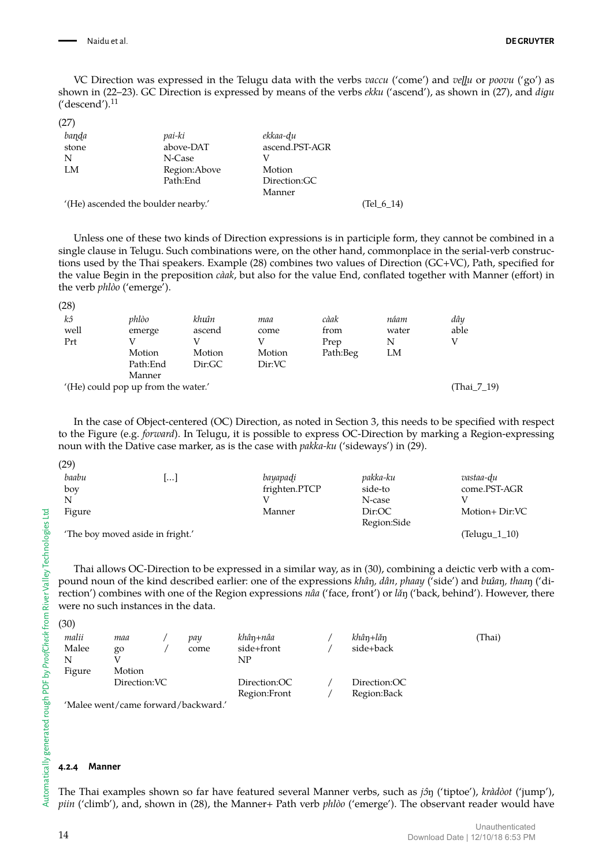VC Direction was expressed in the Telugu data with the verbs *vaccu* ('come') and *veɭɭu* or *poovu* ('go') as shown in (22–23). GC Direction is expressed by means of the verbs *ekku* ('ascend'), as shown in (27), and *diɡu*  $('descend').<sup>11</sup>$ 

| (27)  |                                     |                |              |
|-------|-------------------------------------|----------------|--------------|
| banda | pai-ki                              | ekkaa-du       |              |
| stone | above-DAT                           | ascend.PST-AGR |              |
| N     | N-Case                              |                |              |
| LM    | Region: Above                       | Motion         |              |
|       | Path:End                            | Direction:GC   |              |
|       |                                     | Manner         |              |
|       | '(He) ascended the boulder nearby.' |                | $(Tel_6_14)$ |

Unless one of these two kinds of Direction expressions is in participle form, they cannot be combined in a single clause in Telugu. Such combinations were, on the other hand, commonplace in the serial-verb constructions used by the Thai speakers. Example (28) combines two values of Direction (GC+VC), Path, specified for the value Begin in the preposition *càak*, but also for the value End, conflated together with Manner (effort) in the verb *phlòo* ('emerge').

| (28)                                |          |        |        |          |       |      |
|-------------------------------------|----------|--------|--------|----------|-------|------|
| kô                                  | phlòo    | khuîn  | maa    | càak     | náam  | dây  |
| well                                | emerge   | ascend | come   | from     | water | able |
| Prt                                 |          |        | V      | Prep     | N     | V    |
|                                     | Motion   | Motion | Motion | Path:Beg | LM    |      |
|                                     | Path:End | Dir:GC | Dir:VC |          |       |      |
|                                     | Manner   |        |        |          |       |      |
| '(He) could pop up from the water.' |          |        |        |          |       |      |

In the case of Object-centered (OC) Direction, as noted in Section 3, this needs to be specified with respect to the Figure (e.g. *forward*). In Telugu, it is possible to express OC-Direction by marking a Region-expressing noun with the Dative case marker, as is the case with *pakka-ku* ('sideways') in (29).

| (ムノ)                             |                         |               |             |                 |
|----------------------------------|-------------------------|---------------|-------------|-----------------|
| baabu                            | $\left  \ldots \right $ | bayapadi      | pakka-ku    | vastaa-du       |
| boy                              |                         | frighten.PTCP | side-to     | come.PST-AGR    |
|                                  |                         |               | N-case      |                 |
| Figure                           |                         | Manner        | Dir:OC      | Motion+Dir:VC   |
|                                  |                         |               | Region:Side |                 |
| 'The boy moved aside in fright.' |                         |               |             | $(Telugu_1_10)$ |

Thai allows OC-Direction to be expressed in a similar way, as in (30), combining a deictic verb with a compound noun of the kind described earlier: one of the expressions *khâ*ŋ*, dân, phaay* ('side') and *bɯ̂a*ŋ*, thaa*ŋ ('direction') combines with one of the Region expressions *nâa* ('face, front') or *lǎ*ŋ ('back, behind'). However, there were no such instances in the data.

| (30)                 |                  |             |                              |                              |        |
|----------------------|------------------|-------------|------------------------------|------------------------------|--------|
| malii<br>Malee<br>N  | maa<br>go        | pay<br>come | khân+nâa<br>side+front<br>NP | <i>khân+lǎn</i><br>side+back | (Thai) |
| Figure               | Motion           |             |                              |                              |        |
|                      | Direction:VC     |             | Direction:OC                 | Direction:OC                 |        |
| $\sim$ $\sim$ $\sim$ | $\sim$<br>$\sim$ |             | Region: Front<br>. .         | Region:Back                  |        |

'Malee went/came forward/backward.'

#### **4.2.4 Manner**

The Thai examples shown so far have featured several Manner verbs, such as *jɔ̂*ŋ ('tiptoe'), *kràdòot* ('jump'), *piin* ('climb'), and, shown in (28), the Manner+ Path verb *phlòo* ('emerge'). The observant reader would have

14

 $(29)$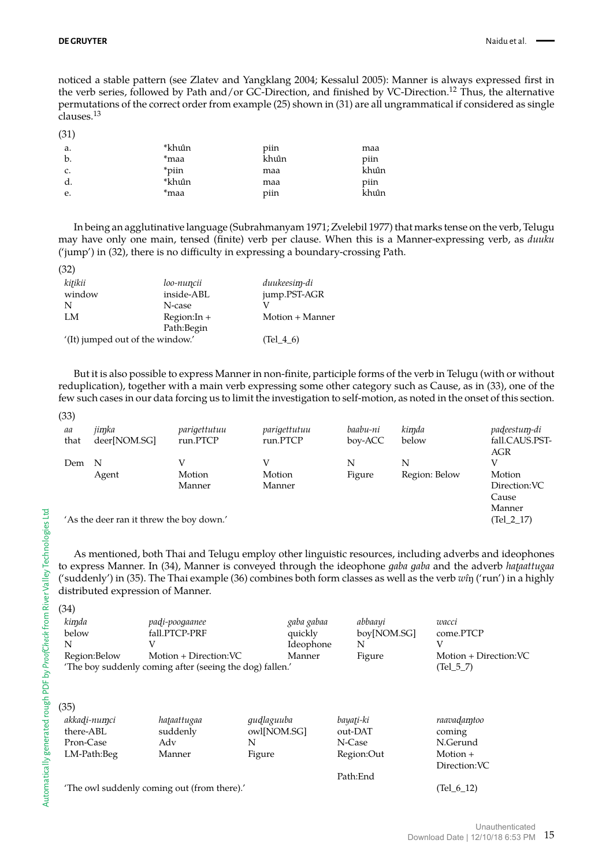noticed a stable pattern (see Zlatev and Yangklang 2004; Kessalul 2005): Manner is always expressed first in the verb series, followed by Path and/or GC-Direction, and finished by VC-Direction.<sup>12</sup> Thus, the alternative permutations of the correct order from example (25) shown in (31) are all ungrammatical if considered as single clauses.<sup>13</sup>

(31)

|    | *khuîn | piin  |       |
|----|--------|-------|-------|
| a. |        |       | maa   |
| b. | *maa   | khuîn | piin  |
| c. | *piin  | maa   | khuîn |
| d. | *khưìn | maa   | piin  |
| e. | *maa   | piin  | khưìn |
|    |        |       |       |

In being an agglutinative language (Subrahmanyam 1971; Zvelebil 1977) that marks tense on the verb, Telugu may have only one main, tensed (finite) verb per clause. When this is a Manner-expressing verb, as *duuku* ('jump') in (32), there is no difficulty in expressing a boundary-crossing Path.

 $(32)$ 

(33)

| kitikii                          | loo-nuncii     | duukeesim-di    |
|----------------------------------|----------------|-----------------|
| window                           | inside-ABL     | jump.PST-AGR    |
| N                                | N-case         |                 |
| LM                               | $Region: In +$ | Motion + Manner |
|                                  | Path:Begin     |                 |
| '(It) jumped out of the window.' | $(Tel_4_6)$    |                 |

But it is also possible to express Manner in non-finite, participle forms of the verb in Telugu (with or without reduplication), together with a main verb expressing some other category such as Cause, as in (33), one of the few such cases in our data forcing us to limit the investigation to self-motion, as noted in the onset of this section.

| aa   | jimka                                                                                              | parigettutuu | parigettutuu | baabu-ni | kimda         | padeestum-di          |
|------|----------------------------------------------------------------------------------------------------|--------------|--------------|----------|---------------|-----------------------|
| that | deer[NOM.SG]                                                                                       | run.PTCP     | run.PTCP     | bov-ACC  | below         | fall.CAUS.PST-<br>AGR |
| Dem  | N                                                                                                  |              |              | N        | N             | V                     |
|      | Agent                                                                                              | Motion       | Motion       | Figure   | Region: Below | Motion                |
|      |                                                                                                    | Manner       | Manner       |          |               | Direction: VC         |
|      |                                                                                                    |              |              |          |               | Cause                 |
|      |                                                                                                    |              |              |          |               | Manner                |
|      | $\mathcal{L}$ and $\mathcal{L}$ is the set of the set of $\mathcal{L}$ is the set of $\mathcal{L}$ |              |              |          |               | $(T - 1, 0, 17)$      |

'As the deer ran it threw the boy down.' (Tel\_2\_17)

As mentioned, both Thai and Telugu employ other linguistic resources, including adverbs and ideophones to express Manner. In (34), Manner is conveyed through the ideophone *ɡaba ɡaba* and the adverb *haʈaattugaa* ('suddenly') in (35). The Thai example (36) combines both form classes as well as the verb *wî*ŋ ('run') in a highly distributed expression of Manner.

| (34)                                      |                                                          |             |            |        |             |                        |
|-------------------------------------------|----------------------------------------------------------|-------------|------------|--------|-------------|------------------------|
| kimda                                     | padi-poogaanee                                           |             | gaba gabaa |        | abbaayi     | wacci                  |
| below                                     | fall.PTCP-PRF                                            |             | quickly    |        | boy[NOM.SG] | come.PTCP              |
| N                                         | V                                                        |             | Ideophone  |        | N           | V                      |
| Region:Below                              | Motion + Direction: VC                                   |             | Manner     |        | Figure      | Motion + Direction: VC |
|                                           | 'The boy suddenly coming after (seeing the dog) fallen.' |             |            |        |             | $(Tel_5 7)$            |
| (35)                                      |                                                          |             |            |        |             |                        |
| akkadi-numci                              | hafaattugaa                                              | gudlaguuba  |            |        | bayati-ki   | raavadamtoo            |
| there-ABL                                 | suddenly                                                 | owl[NOM.SG] |            |        | out-DAT     | coming                 |
| Pron-Case                                 | Adv                                                      | N           |            | N-Case |             | N.Gerund               |
| LM-Path:Beg                               | Manner                                                   | Figure      |            |        | Region:Out  | Motion $+$             |
|                                           |                                                          |             |            |        |             | Direction: VC          |
|                                           |                                                          |             |            |        | Path:End    |                        |
| The owl suddenly coming out (from there). |                                                          |             |            |        |             | (Tel 6 12)             |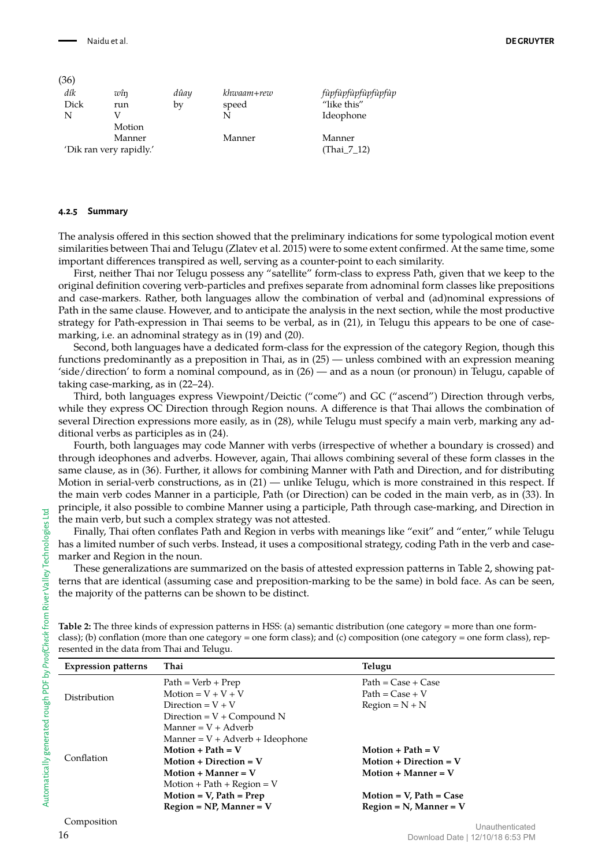$(26)$ 

| (36) |                         |      |            |                    |
|------|-------------------------|------|------------|--------------------|
| dík  | $w\hat{\imath}$ n       | dûay | khwaam+rew | fùpfùpfùpfùpfùpfùp |
| Dick | run                     | by   | speed      | "like this"        |
| N    |                         |      |            | Ideophone          |
|      | Motion                  |      |            |                    |
|      | Manner                  |      | Manner     | Manner             |
|      | 'Dik ran very rapidly.' |      |            | (Thai $7_{12}$ )   |
|      |                         |      |            |                    |

#### **4.2.5 Summary**

The analysis offered in this section showed that the preliminary indications for some typological motion event similarities between Thai and Telugu (Zlatev et al. 2015) were to some extent confirmed. At the same time, some important differences transpired as well, serving as a counter-point to each similarity.

First, neither Thai nor Telugu possess any "satellite" form-class to express Path, given that we keep to the original definition covering verb-particles and prefixes separate from adnominal form classes like prepositions and case-markers. Rather, both languages allow the combination of verbal and (ad)nominal expressions of Path in the same clause. However, and to anticipate the analysis in the next section, while the most productive strategy for Path-expression in Thai seems to be verbal, as in (21), in Telugu this appears to be one of casemarking, i.e. an adnominal strategy as in (19) and (20).

Second, both languages have a dedicated form-class for the expression of the category Region, though this functions predominantly as a preposition in Thai, as in (25) — unless combined with an expression meaning 'side/direction' to form a nominal compound, as in (26) — and as a noun (or pronoun) in Telugu, capable of taking case-marking, as in (22–24).

Third, both languages express Viewpoint/Deictic ("come") and GC ("ascend") Direction through verbs, while they express OC Direction through Region nouns. A difference is that Thai allows the combination of several Direction expressions more easily, as in (28), while Telugu must specify a main verb, marking any additional verbs as participles as in (24).

Fourth, both languages may code Manner with verbs (irrespective of whether a boundary is crossed) and through ideophones and adverbs. However, again, Thai allows combining several of these form classes in the same clause, as in (36). Further, it allows for combining Manner with Path and Direction, and for distributing Motion in serial-verb constructions, as in (21) — unlike Telugu, which is more constrained in this respect. If the main verb codes Manner in a participle, Path (or Direction) can be coded in the main verb, as in (33). In principle, it also possible to combine Manner using a participle, Path through case-marking, and Direction in the main verb, but such a complex strategy was not attested.

Finally, Thai often conflates Path and Region in verbs with meanings like "exit" and "enter," while Telugu has a limited number of such verbs. Instead, it uses a compositional strategy, coding Path in the verb and casemarker and Region in the noun.

These generalizations are summarized on the basis of attested expression patterns in Table 2, showing patterns that are identical (assuming case and preposition-marking to be the same) in bold face. As can be seen, the majority of the patterns can be shown to be distinct.

| <b>Expression patterns</b> | Thai                              | Telugu                     |
|----------------------------|-----------------------------------|----------------------------|
|                            | $Path = Verb + Prep$              | $Path = Case + Case$       |
| Distribution               | $Motion = V + V + V$              | $Path = Case + V$          |
|                            | Direction = $V + V$               | $Region = N + N$           |
|                            | Direction = $V +$ Compound N      |                            |
|                            | Manner = $V +$ Adverb             |                            |
|                            | $Manner = V + Adverb + Ideophone$ |                            |
|                            | Motion + Path = $V$               | Motion + Path = $V$        |
| Conflation                 | Motion + Direction = $V$          | Motion + Direction = $V$   |
|                            | Motion + Manner = $V$             | Motion + Manner = $V$      |
|                            | Motion + Path + Region = $V$      |                            |
|                            | Motion = $V$ , Path = Prep        | Motion = $V$ , Path = Case |
|                            | $Region = NP, Manner = V$         | $Region = N, Manner = V$   |

**Table 2:** The three kinds of expression patterns in HSS: (a) semantic distribution (one category = more than one formclass); (b) conflation (more than one category = one form class); and (c) composition (one category = one form class), represented in the data from Thai and Telugu.

Composition

[Automatically](http://rivervalleytechnologies.com/products/) generated rough PDF by *ProofCheck* from River Valley Technologies Ltd

Automatically generated rough PDF by ProofCheck from River Valley Technologies Ltd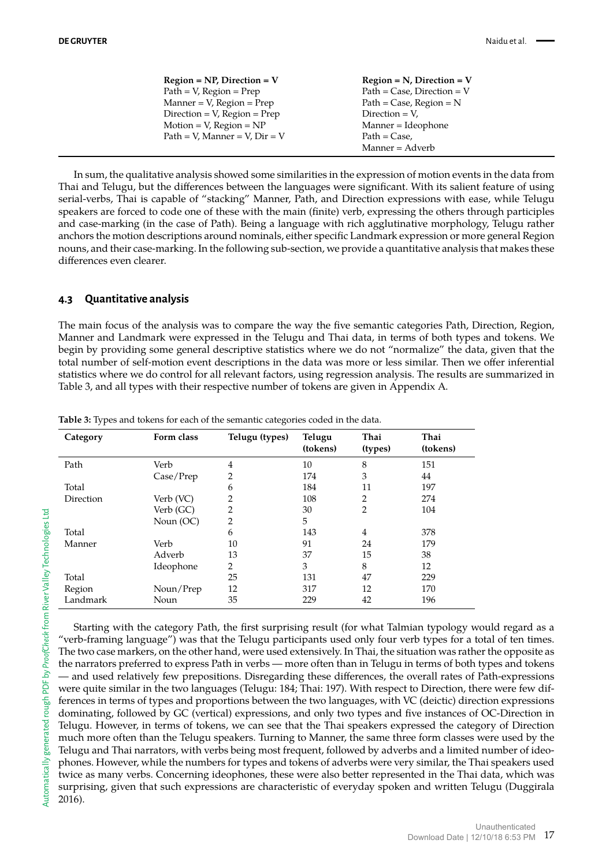| $Region = NP, Direction = V$          | $Region = N, Direction = V$   |
|---------------------------------------|-------------------------------|
| $Path = V$ , Region = Prep            | $Path = Case$ , Direction = V |
| Manner = $V$ , Region = Prep          | $Path = Case, Region = N$     |
| Direction = $V$ , Region = Prep       | Direction = $V$ ,             |
| Motion = $V$ , Region = $NP$          | Manner = Ideophone            |
| Path = $V$ , Manner = $V$ , Dir = $V$ | $Path = Case$ ,               |
|                                       | Manner = Adverb               |

In sum, the qualitative analysis showed some similarities in the expression of motion events in the data from Thai and Telugu, but the differences between the languages were significant. With its salient feature of using serial-verbs, Thai is capable of "stacking" Manner, Path, and Direction expressions with ease, while Telugu speakers are forced to code one of these with the main (finite) verb, expressing the others through participles and case-marking (in the case of Path). Being a language with rich agglutinative morphology, Telugu rather anchors the motion descriptions around nominals, either specific Landmark expression or more general Region nouns, and their case-marking. In the following sub-section, we provide a quantitative analysis that makes these differences even clearer.

## **4.3 Quantitative analysis**

The main focus of the analysis was to compare the way the five semantic categories Path, Direction, Region, Manner and Landmark were expressed in the Telugu and Thai data, in terms of both types and tokens. We begin by providing some general descriptive statistics where we do not "normalize" the data, given that the total number of self-motion event descriptions in the data was more or less similar. Then we offer inferential statistics where we do control for all relevant factors, using regression analysis. The results are summarized in Table 3, and all types with their respective number of tokens are given in Appendix A.

| Category  | Form class | Telugu (types) | Telugu<br>(tokens) | Thai<br>(types) | Thai<br>(tokens) |
|-----------|------------|----------------|--------------------|-----------------|------------------|
| Path      | Verb       | 4              | 10                 | 8               | 151              |
|           | Case/Prep  | 2              | 174                | 3               | 44               |
| Total     |            | 6              | 184                | 11              | 197              |
| Direction | Verb (VC)  | $\overline{2}$ | 108                | 2               | 274              |
|           | Verb (GC)  | 2              | 30                 | 2               | 104              |
|           | Noun (OC)  | $\overline{2}$ | 5                  |                 |                  |
| Total     |            | 6              | 143                | 4               | 378              |
| Manner    | Verb       | 10             | 91                 | 24              | 179              |
|           | Adverb     | 13             | 37                 | 15              | 38               |
|           | Ideophone  | $\overline{2}$ | 3                  | 8               | 12               |
| Total     |            | 25             | 131                | 47              | 229              |
| Region    | Noun/Prep  | 12             | 317                | 12              | 170              |
| Landmark  | Noun       | 35             | 229                | 42              | 196              |

**Table 3:** Types and tokens for each of the semantic categories coded in the data.

Starting with the category Path, the first surprising result (for what Talmian typology would regard as a "verb-framing language") was that the Telugu participants used only four verb types for a total of ten times. The two case markers, on the other hand, were used extensively. In Thai, the situation was rather the opposite as the narrators preferred to express Path in verbs — more often than in Telugu in terms of both types and tokens — and used relatively few prepositions. Disregarding these differences, the overall rates of Path-expressions were quite similar in the two languages (Telugu: 184; Thai: 197). With respect to Direction, there were few differences in terms of types and proportions between the two languages, with VC (deictic) direction expressions dominating, followed by GC (vertical) expressions, and only two types and five instances of OC-Direction in Telugu. However, in terms of tokens, we can see that the Thai speakers expressed the category of Direction much more often than the Telugu speakers. Turning to Manner, the same three form classes were used by the Telugu and Thai narrators, with verbs being most frequent, followed by adverbs and a limited number of ideophones. However, while the numbers for types and tokens of adverbs were very similar, the Thai speakers used twice as many verbs. Concerning ideophones, these were also better represented in the Thai data, which was surprising, given that such expressions are characteristic of everyday spoken and written Telugu (Duggirala 2016).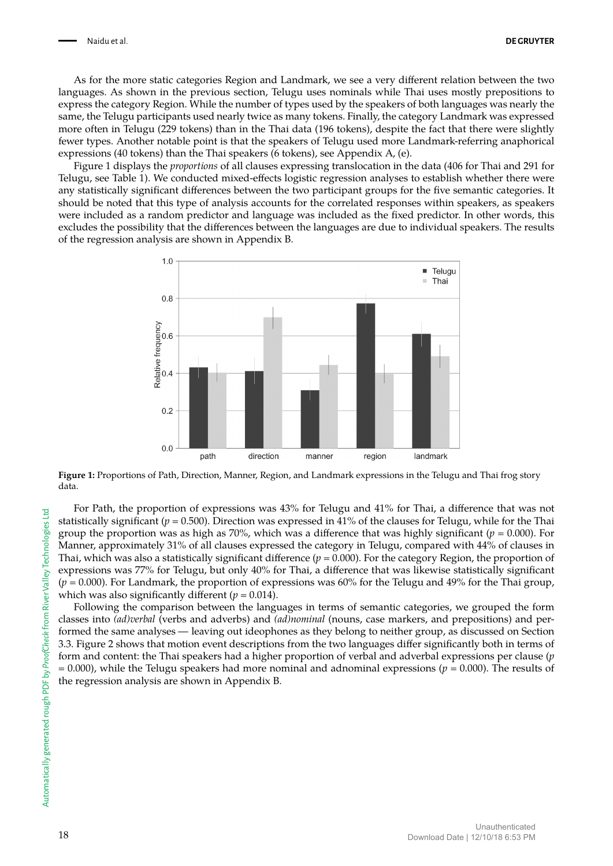As for the more static categories Region and Landmark, we see a very different relation between the two languages. As shown in the previous section, Telugu uses nominals while Thai uses mostly prepositions to express the category Region. While the number of types used by the speakers of both languages was nearly the same, the Telugu participants used nearly twice as many tokens. Finally, the category Landmark was expressed more often in Telugu (229 tokens) than in the Thai data (196 tokens), despite the fact that there were slightly fewer types. Another notable point is that the speakers of Telugu used more Landmark-referring anaphorical expressions (40 tokens) than the Thai speakers (6 tokens), see Appendix A, (e).

Figure 1 displays the *proportions* of all clauses expressing translocation in the data (406 for Thai and 291 for Telugu, see Table 1). We conducted mixed-effects logistic regression analyses to establish whether there were any statistically significant differences between the two participant groups for the five semantic categories. It should be noted that this type of analysis accounts for the correlated responses within speakers, as speakers were included as a random predictor and language was included as the fixed predictor. In other words, this excludes the possibility that the differences between the languages are due to individual speakers. The results of the regression analysis are shown in Appendix B.



**Figure 1:** Proportions of Path, Direction, Manner, Region, and Landmark expressions in the Telugu and Thai frog story data.

For Path, the proportion of expressions was 43% for Telugu and 41% for Thai, a difference that was not statistically significant (*p =* 0.500). Direction was expressed in 41% of the clauses for Telugu, while for the Thai group the proportion was as high as 70%, which was a difference that was highly significant ( $p = 0.000$ ). For Manner, approximately 31% of all clauses expressed the category in Telugu, compared with 44% of clauses in Thai, which was also a statistically significant difference (*p =* 0.000). For the category Region, the proportion of expressions was 77% for Telugu, but only 40% for Thai, a difference that was likewise statistically significant (*p =* 0.000). For Landmark, the proportion of expressions was 60% for the Telugu and 49% for the Thai group, which was also significantly different  $(p = 0.014)$ .

Following the comparison between the languages in terms of semantic categories, we grouped the form classes into *(ad)verbal* (verbs and adverbs) and *(ad)nominal* (nouns, case markers, and prepositions) and performed the same analyses — leaving out ideophones as they belong to neither group, as discussed on Section 3.3. Figure 2 shows that motion event descriptions from the two languages differ significantly both in terms of form and content: the Thai speakers had a higher proportion of verbal and adverbal expressions per clause (*p*  $= 0.000$ ), while the Telugu speakers had more nominal and adnominal expressions ( $p = 0.000$ ). The results of the regression analysis are shown in Appendix B.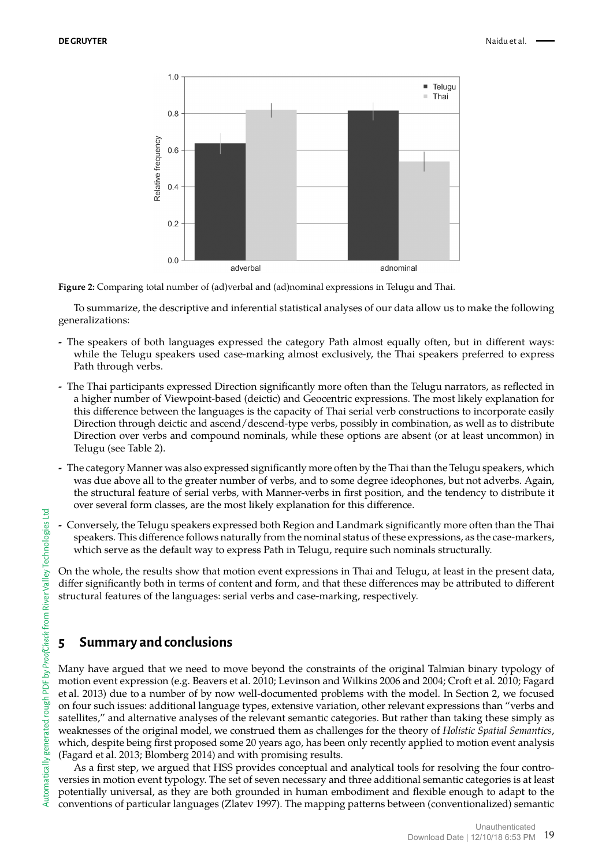

**Figure 2:** Comparing total number of (ad)verbal and (ad)nominal expressions in Telugu and Thai.

To summarize, the descriptive and inferential statistical analyses of our data allow us to make the following generalizations:

- **-** The speakers of both languages expressed the category Path almost equally often, but in different ways: while the Telugu speakers used case-marking almost exclusively, the Thai speakers preferred to express Path through verbs.
- **-** The Thai participants expressed Direction significantly more often than the Telugu narrators, as reflected in a higher number of Viewpoint-based (deictic) and Geocentric expressions. The most likely explanation for this difference between the languages is the capacity of Thai serial verb constructions to incorporate easily Direction through deictic and ascend/descend-type verbs, possibly in combination, as well as to distribute Direction over verbs and compound nominals, while these options are absent (or at least uncommon) in Telugu (see Table 2).
- **-** The category Manner was also expressed significantly more often by the Thai than the Telugu speakers, which was due above all to the greater number of verbs, and to some degree ideophones, but not adverbs. Again, the structural feature of serial verbs, with Manner-verbs in first position, and the tendency to distribute it over several form classes, are the most likely explanation for this difference.
- **-** Conversely, the Telugu speakers expressed both Region and Landmark significantly more often than the Thai speakers. This difference follows naturally from the nominal status of these expressions, as the case-markers, which serve as the default way to express Path in Telugu, require such nominals structurally.

On the whole, the results show that motion event expressions in Thai and Telugu, at least in the present data, differ significantly both in terms of content and form, and that these differences may be attributed to different structural features of the languages: serial verbs and case-marking, respectively.

# **5 Summary and conclusions**

Many have argued that we need to move beyond the constraints of the original Talmian binary typology of motion event expression (e.g. Beavers et al. 2010; Levinson and Wilkins 2006 and 2004; Croft et al. 2010; Fagard et al. 2013) due to a number of by now well-documented problems with the model. In Section 2, we focused on four such issues: additional language types, extensive variation, other relevant expressions than "verbs and satellites," and alternative analyses of the relevant semantic categories. But rather than taking these simply as weaknesses of the original model, we construed them as challenges for the theory of *Holistic Spatial Semantics*, which, despite being first proposed some 20 years ago, has been only recently applied to motion event analysis (Fagard et al. 2013; Blomberg 2014) and with promising results.

As a first step, we argued that HSS provides conceptual and analytical tools for resolving the four controversies in motion event typology. The set of seven necessary and three additional semantic categories is at least potentially universal, as they are both grounded in human embodiment and flexible enough to adapt to the conventions of particular languages (Zlatev 1997). The mapping patterns between (conventionalized) semantic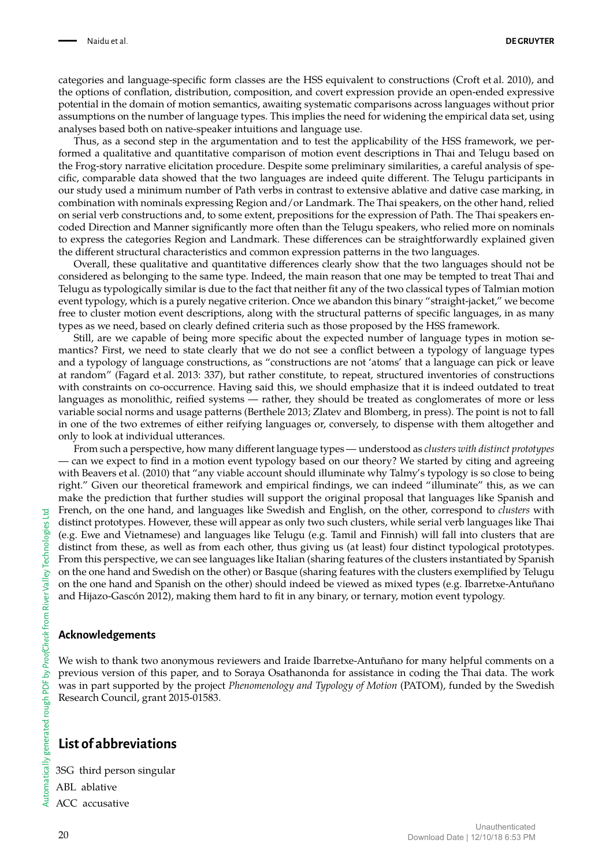categories and language-specific form classes are the HSS equivalent to constructions (Croft et al. 2010), and the options of conflation, distribution, composition, and covert expression provide an open-ended expressive potential in the domain of motion semantics, awaiting systematic comparisons across languages without prior assumptions on the number of language types. This implies the need for widening the empirical data set, using analyses based both on native-speaker intuitions and language use.

Thus, as a second step in the argumentation and to test the applicability of the HSS framework, we performed a qualitative and quantitative comparison of motion event descriptions in Thai and Telugu based on the Frog-story narrative elicitation procedure. Despite some preliminary similarities, a careful analysis of specific, comparable data showed that the two languages are indeed quite different. The Telugu participants in our study used a minimum number of Path verbs in contrast to extensive ablative and dative case marking, in combination with nominals expressing Region and/or Landmark. The Thai speakers, on the other hand, relied on serial verb constructions and, to some extent, prepositions for the expression of Path. The Thai speakers encoded Direction and Manner significantly more often than the Telugu speakers, who relied more on nominals to express the categories Region and Landmark. These differences can be straightforwardly explained given the different structural characteristics and common expression patterns in the two languages.

Overall, these qualitative and quantitative differences clearly show that the two languages should not be considered as belonging to the same type. Indeed, the main reason that one may be tempted to treat Thai and Telugu as typologically similar is due to the fact that neither fit any of the two classical types of Talmian motion event typology, which is a purely negative criterion. Once we abandon this binary "straight-jacket," we become free to cluster motion event descriptions, along with the structural patterns of specific languages, in as many types as we need, based on clearly defined criteria such as those proposed by the HSS framework.

Still, are we capable of being more specific about the expected number of language types in motion semantics? First, we need to state clearly that we do not see a conflict between a typology of language types and a typology of language constructions, as "constructions are not 'atoms' that a language can pick or leave at random" (Fagard et al. 2013: 337), but rather constitute, to repeat, structured inventories of constructions with constraints on co-occurrence. Having said this, we should emphasize that it is indeed outdated to treat languages as monolithic, reified systems — rather, they should be treated as conglomerates of more or less variable social norms and usage patterns (Berthele 2013; Zlatev and Blomberg, in press). The point is not to fall in one of the two extremes of either reifying languages or, conversely, to dispense with them altogether and only to look at individual utterances.

From such a perspective, how many different language types — understood as *clusters with distinct prototypes* — can we expect to find in a motion event typology based on our theory? We started by citing and agreeing with Beavers et al. (2010) that "any viable account should illuminate why Talmy's typology is so close to being right." Given our theoretical framework and empirical findings, we can indeed "illuminate" this, as we can make the prediction that further studies will support the original proposal that languages like Spanish and French, on the one hand, and languages like Swedish and English, on the other, correspond to *clusters* with distinct prototypes. However, these will appear as only two such clusters, while serial verb languages like Thai (e.g. Ewe and Vietnamese) and languages like Telugu (e.g. Tamil and Finnish) will fall into clusters that are distinct from these, as well as from each other, thus giving us (at least) four distinct typological prototypes. From this perspective, we can see languages like Italian (sharing features of the clusters instantiated by Spanish on the one hand and Swedish on the other) or Basque (sharing features with the clusters exemplified by Telugu on the one hand and Spanish on the other) should indeed be viewed as mixed types (e.g. Ibarretxe-Antuñano and Hijazo-Gascón 2012), making them hard to fit in any binary, or ternary, motion event typology.

#### **Acknowledgements**

We wish to thank two anonymous reviewers and Iraide Ibarretxe-Antuñano for many helpful comments on a previous version of this paper, and to Soraya Osathanonda for assistance in coding the Thai data. The work was in part supported by the project *Phenomenology and Typology of Motion* (PATOM), funded by the Swedish Research Council, grant 2015-01583.

# **List of abbreviations**

3SG third person singular ABL ablative ACC accusative

모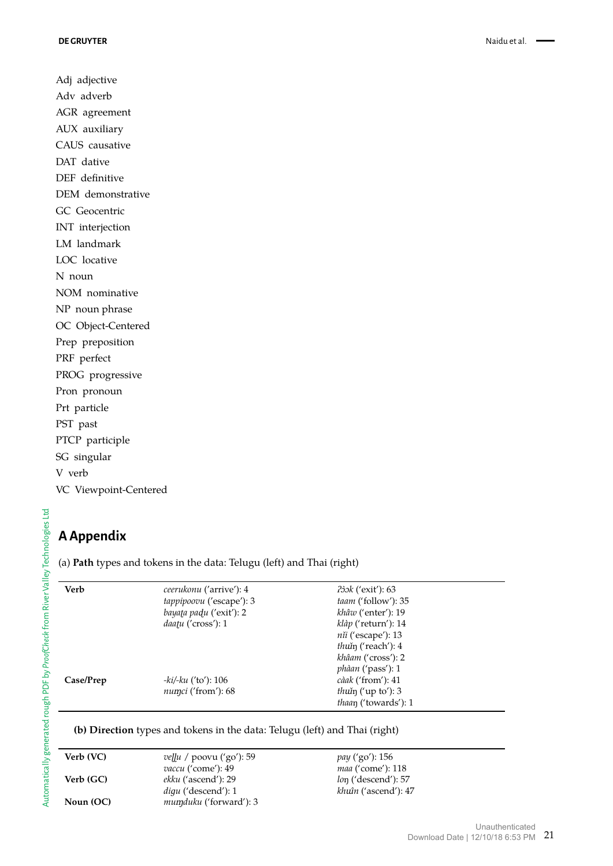Adj adjective Adv adverb AGR agreement AUX auxiliary CAUS causative DAT dative DEF definitive DEM demonstrative GC Geocentric INT interjection LM landmark LOC locative N noun NOM nominative NP noun phrase OC Object-Centered Prep preposition PRF perfect PROG progressive Pron pronoun Prt particle PST past PTCP participle SG singular V verb VC Viewpoint-Centered

# **A Appendix**

(a) **Path** types and tokens in the data: Telugu (left) and Thai (right)

| <b>Verb</b> | <i>ceerukonu</i> ('arrive'): 4 | ?30k ('exit'): 63           |
|-------------|--------------------------------|-----------------------------|
|             | tappipoovu ('escape'): 3       | taam ('follow'): 35         |
|             | bayata padu ('exit'): 2        | khâw ('enter'): 19          |
|             | <i>daafu</i> ('cross'): 1      | klàp ('return'): 14         |
|             |                                | $nii$ ('escape'): 13        |
|             |                                | <i>thuln</i> ('reach'): $4$ |
|             |                                | khâam ('cross'): 2          |
|             |                                | $phàan$ (' $pass$ '): 1     |
| Case/Prep   | <i>-ki/-ku</i> ('to'): 106     | càak ('from'): 41           |
|             | $numci$ ('from'): 68           | <i>thuln</i> ('up to'): $3$ |
|             |                                | <i>thaan</i> ('towards'): 1 |

**(b) Direction** types and tokens in the data: Telugu (left) and Thai (right)

| Verb (V |  |
|---------|--|
| Verb (G |  |

**Verb (VC)** *veɭɭu* / poovu ('go'): 59 *pay* ('go'): 156 *vaccu* ('come'): 49 *maa* ('come'): 118 **Verb (GC)** *ekku* ('ascend'): 29 *lo*ŋ ('descend'): 57 *diɡu* ('descend'): 1 *khɯ̂n* ('ascend'): 47 **Noun (OC)** *muɱduku* ('forward'): 3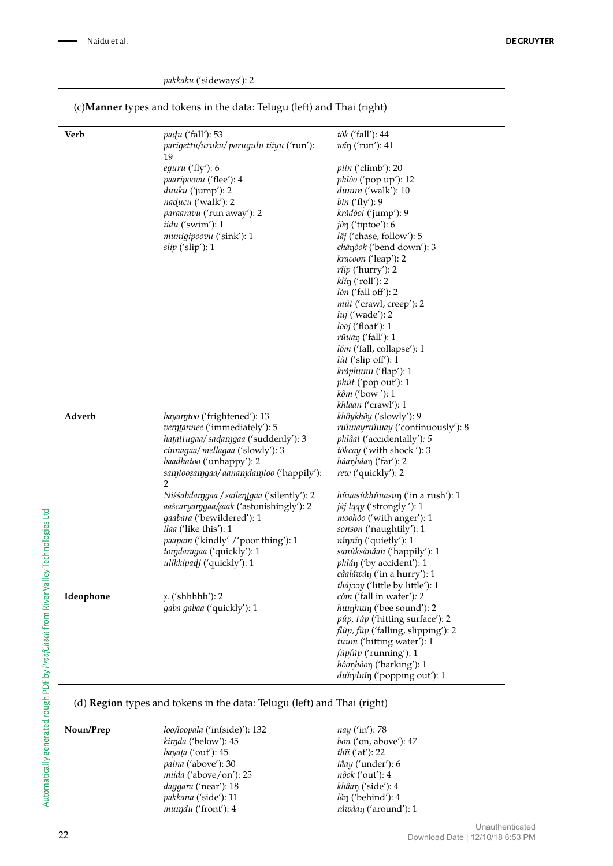*pakkaku* ('sideways'): 2

(c)**Manner** types and tokens in the data: Telugu (left) and Thai (right)

| Verb      | padu ('fall'): 53                                      | tòk ('fall'): 44                   |
|-----------|--------------------------------------------------------|------------------------------------|
|           | <i>parigettu/uruku/ parugulu tiiyu ('run')</i> :<br>19 | $w\hat{i}$ n ('run'): 41           |
|           | eguru ('fly'): $6$                                     | piin ('climb'): 20                 |
|           |                                                        | phlòo ('pop up'): 12               |
|           | paaripoovu ('flee'): 4                                 |                                    |
|           | duuku ('jump'): 2                                      | duuun ('walk'): 10                 |
|           | naqucu ('walk'): 2                                     | bin ('fly'): 9                     |
|           | paraaravu ('run away'): 2                              | kràdòot ('jump'): 9                |
|           | iidu ('swim'): 1                                       | jôn ('tiptoe'): 6                  |
|           | munigipoovu ('sink'): 1                                | lâj ('chase, follow'): 5           |
|           | $slip$ ('slip'): 1                                     | chánôok ('bend down'): 3           |
|           |                                                        | kracoon ('leap'): 2                |
|           |                                                        | rîip ('hurry'): 2                  |
|           |                                                        | $k\hat{i}$ n ('roll'): 2           |
|           |                                                        | lòn ('fall off'): 2                |
|           |                                                        | mút ('crawl, creep'): 2            |
|           |                                                        | $luj$ ('wade'): 2                  |
|           |                                                        | looj ('float'): 1                  |
|           |                                                        | rûuan ('fall'): 1                  |
|           |                                                        | lóm ('fall, collapse'): 1          |
|           |                                                        |                                    |
|           |                                                        | $l\hat{u}t$ ('slip off'): 1        |
|           |                                                        | kràphuuu ('flap'): 1               |
|           |                                                        | phùt ('pop out'): 1                |
|           |                                                        | kôm ('bow'): 1                     |
|           |                                                        | khlaan ('crawl'): 1                |
| Adverb    | bayamtoo ('frightened'): 13                            | khôykhôy ('slowly'): 9             |
|           | venjannee ('immediately'): 5                           | ruîmayruîmay ('continuously'): 8   |
|           | hatattugaa/ sadamgaa ('suddenly'): 3                   | phlâat ('accidentally'): 5         |
|           | cinnagaa/ mellagaa ('slowly'): 3                       | tòkcay ('with shock '): 3          |
|           | baadhatoo ('unhappy'): 2                               | hàanhàan ('far'): 2                |
|           | samtoosamgaa/ aanamdamtoo ('happily'):                 | rew ('quickly'): 2                 |
|           | $\mathfrak{D}$                                         |                                    |
|           | Niśśabdamgaa / sailentgaa ('silently'): 2              | hǔuasúkhǔuasuŋ ('in a rush'): 1    |
|           | aaścaryamgaa/saak ('astonishingly'): 2                 | jàj lqqy ('strongly '): 1          |
|           | gaabara ('bewildered'): 1                              | moohǒo ('with anger'): 1           |
|           | <i>ilaa</i> ('like this'): 1                           | sonson ('naughtily'): 1            |
|           | paapam ('kindly' /'poor thing'): 1                     | nînnîn ('quietly'): 1              |
|           | tomdaragaa ('quickly'): 1                              | sanùksànăan ('happily'): 1         |
|           | ulikkipadi ('quickly'): 1                              | phlán ('by accident'): 1           |
|           |                                                        | câaláwàn ('in a hurry'): 1         |
|           |                                                        | thájooy ('little by little'): 1    |
|           |                                                        | cŏm ('fall in water'): 2           |
| Ideophone | $\beta$ . ('shhhhh'): 2<br>gaba gabaa ('quickly'): 1   | hunhun ('bee sound'): 2            |
|           |                                                        |                                    |
|           |                                                        | púp, túp ('hitting surface'): 2    |
|           |                                                        | flùp, fùp ('falling, slipping'): 2 |
|           |                                                        | tuum ('hitting water'): 1          |
|           |                                                        | fùpfùp ('running'): 1              |
|           |                                                        | hôonhôon ('barking'): 1            |
|           |                                                        | duňnduňn ('popping out'): 1        |

## (d) **Region** types and tokens in the data: Telugu (left) and Thai (right)

**Noun/Prep** *loo/loopala* ('in(side)'): 132 *nay* ('in'): 78 *kiɱda* ('below'): 45 *bon* ('on, above'): 47 *bayaʈa* ('out'): 45 *thîi* ('at'): 22 *paina* ('above'): 30 *tâay* ('under'): 6 *miida* ('above/on'): 25 *nôok* ('out'): 4 *miida* ('above/on'): 25 *nôok* ('out'): 4 *daɡɡara* ('near'): 18 *khâa*ŋ ('side'): 4 *pakkana* ('side'): 11<br>*mumdu* ('front'): 4

*muɱdu* ('front'): 4 *ráwàa*ŋ ('around'): 1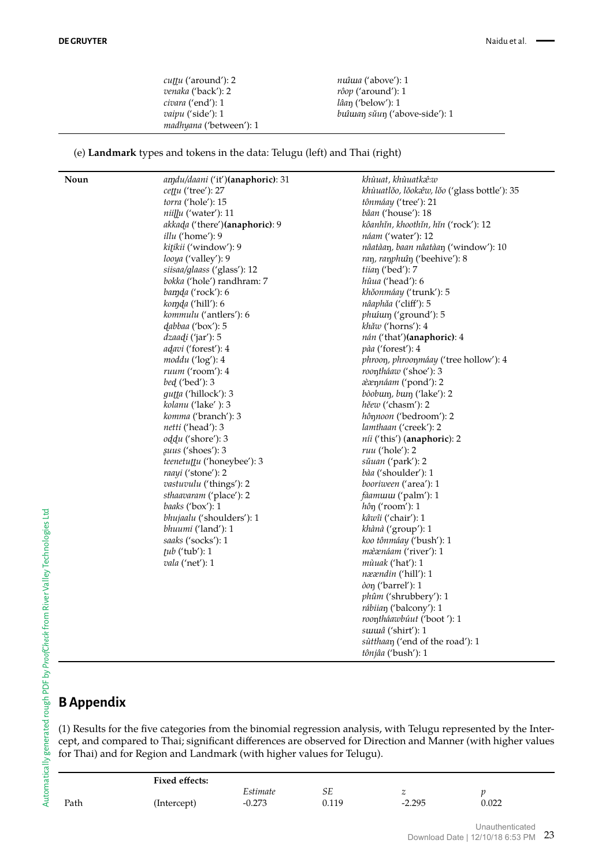*cuʈʈu* ('around'): 2 *nɯ̂ɯa* ('above'): 1 *venaka* ('back'): 2 *rôop* ('around'): 1 *civara* ('end'): 1 *lâa*ŋ ('below'): 1 *vaipu* ('side'): 1 *bɯ̂ɯa*ŋ *sǔu*ŋ ('above-side'): 1 *madhyana* ('between'): 1

#### (e) **Landmark** types and tokens in the data: Telugu (left) and Thai (right)

| ×<br>۰.<br>.<br>×<br>- - |
|--------------------------|
|--------------------------|

| Noun | amdu/daani ('it')(anaphoric): 31 | khùuat, khùuatkæw                           |
|------|----------------------------------|---------------------------------------------|
|      | cettu ('tree'): 27               | khùuatlǒo, lǒokæw, lǒo ('glass bottle'): 35 |
|      | torra ('hole'): 15               | tônmáay ('tree'): 21                        |
|      | niillu ('water'): 11             | bâan ('house'): 18                          |
|      | akkada ('there')(anaphoric): 9   | kôanhin, khoothin, hin ('rock'): 12         |
|      | illu ('home'): 9                 | náam ('water'): 12                          |
|      | kitikii ('window'): 9            | nâatàan, baan nâatàan ('window'): 10        |
|      | looya ('valley'): 9              | ran, ranphuîn ('beehive'): 8                |
|      | siisaa/glaass ('glass'): 12      | tiian ('bed'): 7                            |
|      | bokka ('hole') randhram: 7       | hûua ('head'): 6                            |
|      | banyda ('rock'): 6               | khŏonmáay ('trunk'): 5                      |
|      | konyda ('hill'): 6               | nâaphăa ('cliff'): 5                        |
|      | kommulu ('antlers'): 6           | phuíun ('ground'): 5                        |
|      | dabbaa ('box'): 5                | khăw ('horns'): 4                           |
|      | dzaadi ('jar'): 5                | nán ('that')(anaphoric): 4                  |
|      | adavi ('forest'): 4              | pàa ('forest'): 4                           |
|      | moddu ('log'): 4                 | phroon, phroonmáay ('tree hollow'): 4       |
|      | ruum ('room'): 4                 | roontháaw ('shoe'): 3                       |
|      | bed ('bed'): 3                   | æænnáam ('pond'): 2                         |
|      | gutta ('hillock'): 3             | bòobun, bun ('lake'): 2                     |
|      | kolanu ('lake'): 3               | hěew ('chasm'): 2                           |
|      | komma ('branch'): 3              | hônnoon ('bedroom'): 2                      |
|      | netti ('head'): 3                | lamthaan ('creek'): 2                       |
|      | oddu ('shore'): 3                | níi ('this') (anaphoric): 2                 |
|      | suus ('shoes'): 3                | ruu ('hole'): 2                             |
|      | teenetuttu ('honeybee'): 3       | sŭuan ('park'): 2                           |
|      | raayi ('stone'): 2               | bàa ('shoulder'): 1                         |
|      | vastuvulu ('things'): 2          | booriween ('area'): 1                       |
|      | sthaavaram ('place'): 2          | fàamuuu ('palm'): 1                         |
|      | baaks ('box'): 1                 | hôn ('room'): 1                             |
|      | bhujaalu ('shoulders'): 1        | kâwîi ('chair'): 1                          |
|      | bhuumi ('land'): 1               | khànà ('group'): 1                          |
|      | saaks ('socks'): 1               | koo tônmáay ('bush'): 1                     |
|      | $tub$ ('tub'): 1                 | mæænáam ('river'): 1                        |
|      | vala ('net'): 1                  | $m\$ uak ('hat'): $1$                       |
|      |                                  | $n$ <i>a</i> $x$ <i>andin</i> ('hill'): 1   |
|      |                                  | don ('barrel'): 1                           |
|      |                                  | phûm ('shrubbery'): 1                       |
|      |                                  | rábiian ('balcony'): 1                      |
|      |                                  | roontháawbúut ('boot'): 1                   |
|      |                                  | suuuâ ('shirt'): 1                          |
|      |                                  | sùtthaan ('end of the road'): 1             |
|      |                                  | tônjâa ('bush'): 1                          |

# **B Appendix**

(1) Results for the five categories from the binomial regression analysis, with Telugu represented by the Intercept, and compared to Thai; significant differences are observed for Direction and Manner (with higher values for Thai) and for Region and Landmark (with higher values for Telugu).

|      | Fixed effects: |                      |             |                                      |       |
|------|----------------|----------------------|-------------|--------------------------------------|-------|
| Path | (Intercept)    | Estimate<br>$-0.273$ | SЕ<br>0.119 | $\overline{\phantom{a}}$<br>$-2.295$ | 0.022 |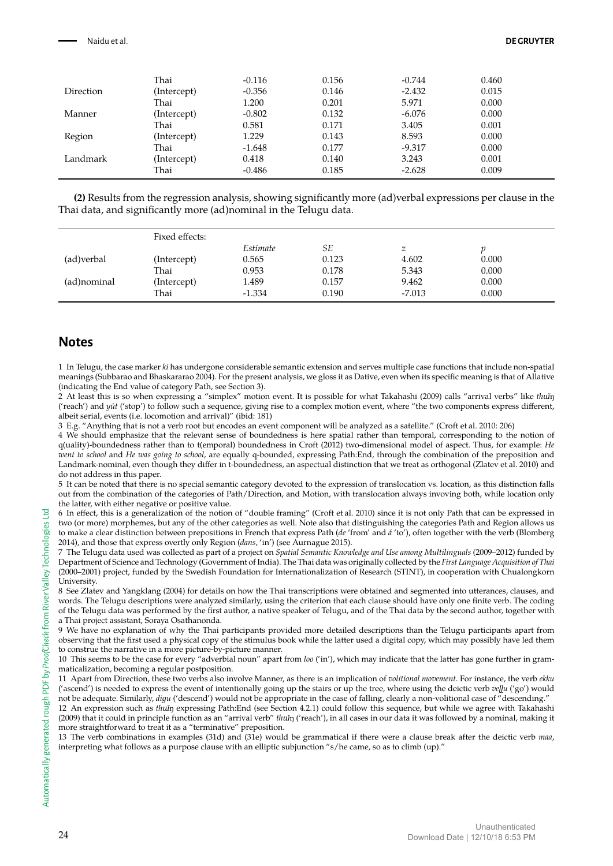|           | Thai        | $-0.116$ | 0.156 | $-0.744$ | 0.460 |
|-----------|-------------|----------|-------|----------|-------|
| Direction | (Intercept) | $-0.356$ | 0.146 | $-2.432$ | 0.015 |
|           | Thai        | 1.200    | 0.201 | 5.971    | 0.000 |
| Manner    | (Intercept) | $-0.802$ | 0.132 | $-6.076$ | 0.000 |
|           | Thai        | 0.581    | 0.171 | 3.405    | 0.001 |
| Region    | (Intercept) | 1.229    | 0.143 | 8.593    | 0.000 |
|           | Thai        | $-1.648$ | 0.177 | $-9.317$ | 0.000 |
| Landmark  | (Intercept) | 0.418    | 0.140 | 3.243    | 0.001 |
|           | Thai        | $-0.486$ | 0.185 | $-2.628$ | 0.009 |

**(2)** Results from the regression analysis, showing significantly more (ad)verbal expressions per clause in the Thai data, and significantly more (ad)nominal in the Telugu data.

|             | Fixed effects: |          |           |          |       |  |
|-------------|----------------|----------|-----------|----------|-------|--|
|             |                | Estimate | <b>SE</b> | z        |       |  |
| (ad) verbal | (Intercept)    | 0.565    | 0.123     | 4.602    | 0.000 |  |
|             | Thai           | 0.953    | 0.178     | 5.343    | 0.000 |  |
| (ad)nominal | (Intercept)    | 1.489    | 0.157     | 9.462    | 0.000 |  |
|             | Thai           | $-1.334$ | 0.190     | $-7.013$ | 0.000 |  |

# **Notes**

1 In Telugu, the case marker *ki* has undergone considerable semantic extension and serves multiple case functions that include non-spatial meanings (Subbarao and Bhaskararao 2004). For the present analysis, we gloss it as Dative, even when its specific meaning is that of Allative (indicating the End value of category Path, see Section 3).

2 At least this is so when expressing a "simplex" motion event. It is possible for what Takahashi (2009) calls "arrival verbs" like *thɯ̌*ŋ ('reach') and *yùt* ('stop') to follow such a sequence, giving rise to a complex motion event, where "the two components express different, albeit serial, events (i.e. locomotion and arrival)" (ibid: 181)

3 E.g. "Anything that is not a verb root but encodes an event component will be analyzed as a satellite." (Croft et al. 2010: 206)

4 We should emphasize that the relevant sense of boundedness is here spatial rather than temporal, corresponding to the notion of q(uality)-boundedness rather than to t(emporal) boundedness in Croft (2012) two-dimensional model of aspect. Thus, for example: *He went to school* and *He was going to school*, are equally q-bounded, expressing Path:End, through the combination of the preposition and Landmark-nominal, even though they differ in t-boundedness, an aspectual distinction that we treat as orthogonal (Zlatev et al. 2010) and do not address in this paper.

5 It can be noted that there is no special semantic category devoted to the expression of translocation vs. location, as this distinction falls out from the combination of the categories of Path/Direction, and Motion, with translocation always invoving both, while location only the latter, with either negative or positive value.

6 In effect, this is a generalization of the notion of "double framing" (Croft et al. 2010) since it is not only Path that can be expressed in two (or more) morphemes, but any of the other categories as well. Note also that distinguishing the categories Path and Region allows us to make a clear distinction between prepositions in French that express Path (*de* 'from' and *á* 'to'), often together with the verb (Blomberg 2014), and those that express overtly only Region (*dans*, 'in') (see Aurnague 2015).

7 The Telugu data used was collected as part of a project on *Spatial Semantic Knowledge and Use among Multilinguals* (2009–2012) funded by Department of Science and Technology (Government of India). The Thai data was originally collected by the *First Language Acquisition of Thai* (2000–2001) project, funded by the Swedish Foundation for Internationalization of Research (STINT), in cooperation with Chualongkorn University.

8 See Zlatev and Yangklang (2004) for details on how the Thai transcriptions were obtained and segmented into utterances, clauses, and words. The Telugu descriptions were analyzed similarly, using the criterion that each clause should have only one finite verb. The coding of the Telugu data was performed by the first author, a native speaker of Telugu, and of the Thai data by the second author, together with a Thai project assistant, Soraya Osathanonda.

9 We have no explanation of why the Thai participants provided more detailed descriptions than the Telugu participants apart from observing that the first used a physical copy of the stimulus book while the latter used a digital copy, which may possibly have led them to construe the narrative in a more picture-by-picture manner.

10 This seems to be the case for every "adverbial noun" apart from *loo* ('in'), which may indicate that the latter has gone further in grammaticalization, becoming a regular postposition.

11 Apart from Direction, these two verbs also involve Manner, as there is an implication of *volitional movement*. For instance, the verb *ekku* ('ascend') is needed to express the event of intentionally going up the stairs or up the tree, where using the deictic verb *veɭɭu* ('go') would not be adequate. Similarly, *diɡu* ('descend') would not be appropriate in the case of falling, clearly a non-volitional case of "descending."

12 An expression such as *thɯ̌*ŋ expressing Path:End (see Section 4.2.1) could follow this sequence, but while we agree with Takahashi (2009) that it could in principle function as an "arrival verb" *thɯ̌*ŋ ('reach'), in all cases in our data it was followed by a nominal, making it more straightforward to treat it as a "terminative" preposition.

13 The verb combinations in examples (31d) and (31e) would be grammatical if there were a clause break after the deictic verb *maa*, interpreting what follows as a purpose clause with an elliptic subjunction "s/he came, so as to climb (up)."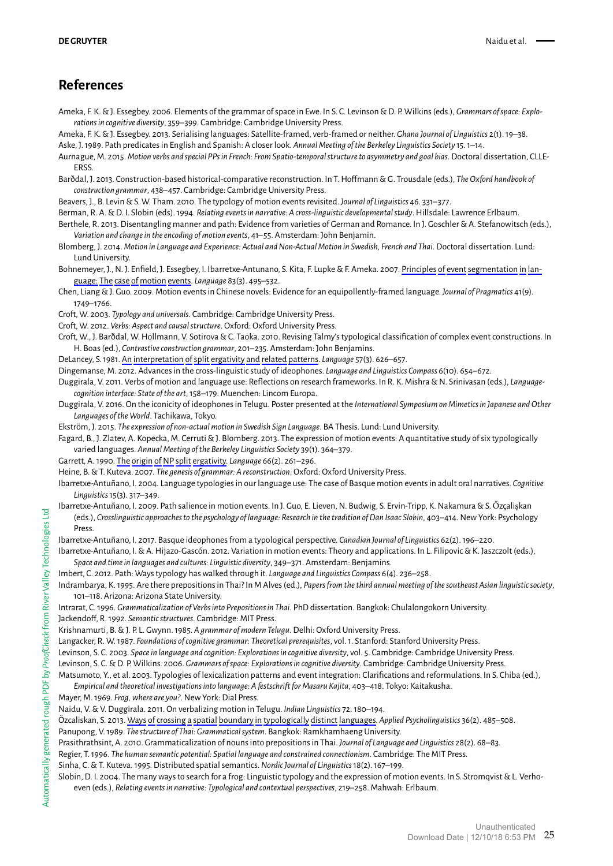# **References**

- Ameka, F. K. & J. Essegbey. 2006. Elements of the grammar of space in Ewe. In S. C. Levinson & D. P. Wilkins (eds.), *Grammars of space: Explorations in cognitive diversity*, 359–399. Cambridge: Cambridge University Press.
- Ameka, F. K. & J. Essegbey. 2013. Serialising languages: Satellite-framed, verb-framed or neither. *Ghana Journal of Linguistics* 2(1). 19–38.
- Aske, J. 1989. Path predicates in English and Spanish: A closer look. *Annual Meeting of the Berkeley Linguistics Society* 15. 1–14.
- Aurnague, M. 2015. *Motion verbs and special PPs in French: From Spatio-temporal structure to asymmetry and goal bias*. Doctoral dissertation, CLLE-ERSS.
- Barðdal, J. 2013. Construction-based historical-comparative reconstruction. In T. Hoffmann & G. Trousdale (eds.), *The Oxford handbook of construction grammar*, 438–457. Cambridge: Cambridge University Press.
- Beavers, J., B. Levin & S. W. Tham. 2010. The typology of motion events revisited. *Journal of Linguistics* 46. 331–377.
- Berman, R. A. & D. I. Slobin (eds). 1994. *Relating events in narrative: A cross-linguistic developmental study*. Hillsdale: Lawrence Erlbaum.
- Berthele, R. 2013. Disentangling manner and path: Evidence from varieties of German and Romance. In J. Goschler & A. Stefanowitsch (eds.), *Variation and change in the encoding of motion events*, 41–55. Amsterdam: John Benjamin.
- Blomberg, J. 2014. *Motion in Language and Experience: Actual and Non-Actual Motion in Swedish, French and Thai*. Doctoral dissertation. Lund: Lund University.
- Bohnemeyer, J., N. J. Enfield, J. Essegbey, I. Ibarretxe-Antunano, S. Kita, F. Lupke & F. Ameka. 2007. Principles of event segmentation in language: The case of motion events.*Language* 83(3). 495–532.
- Chen, Liang & J. Guo. 2009. Motion events in Chinese novels: Evidence for an equipollently-framed language. *Journal of Pragmatics* 41(9). 1749–1766.
- Croft, W. 2003. *Typology and universals*. Cambridge: Cambridge University Press.
- Croft, W. 2012. *Verbs: Aspect and causal structure*. Oxford: Oxford University Press.
- Croft, W., J. Barðdal, W. Hollmann, V. Sotirova & C. Taoka. 2010. Revising Talmy's typological classification of complex event constructions. In H. Boas (ed.), *Contrastive construction grammar*, 201–235. Amsterdam: John Benjamins.
- DeLancey, S. 1981. An interpretation of split ergativity and related patterns.*Language* 57(3). 626–657.
- Dingemanse, M. 2012. Advances in the cross-linguistic study of ideophones.*Language and Linguistics Compass* 6(10). 654–672.
- Duggirala, V. 2011. Verbs of motion and language use: Reflections on research frameworks. In R. K. Mishra & N. Srinivasan (eds.),*Languagecognition interface: State of the art*, 158–179. Muenchen: Lincom Europa.
- Duggirala, V. 2016. On the iconicity of ideophones in Telugu. Poster presented at the *International Symposium on Mimetics in Japanese and Other Languages of the World*. Tachikawa, Tokyo.
- Ekström, J. 2015. *The expression of non-actual motion in Swedish Sign Language*. BA Thesis. Lund: Lund University.
- Fagard, B., J. Zlatev, A. Kopecka, M. Cerruti & J. Blomberg. 2013. The expression of motion events: A quantitative study of six typologically varied languages. *Annual Meeting of the Berkeley Linguistics Society* 39(1). 364–379.
- Garrett, A. 1990. The origin of NP split ergativity.*Language* 66(2). 261–296.
- Heine, B. & T. Kuteva. 2007. *The genesis of grammar: A reconstruction*. Oxford: Oxford University Press.
- Ibarretxe-Antuñano, I. 2004. Language typologies in our language use: The case of Basque motion events in adult oral narratives. *Cognitive Linguistics*15(3). 317–349.
- Ibarretxe-Antuñano, I. 2009. Path salience in motion events. In J. Guo, E. Lieven, N. Budwig, S. Ervin-Tripp, K. Nakamura & S. Őzçalişkan (eds.), *Crosslinguistic approaches to the psychology of language: Research in the tradition of Dan Isaac Slobin*, 403–414. New York: Psychology Press.
- Ibarretxe-Antuñano, I. 2017. Basque ideophones from a typological perspective. *Canadian Journal of Linguistics* 62(2). 196–220.
- Ibarretxe-Antuñano, I. & A. Hijazo-Gascón. 2012. Variation in motion events: Theory and applications. In L. Filipovic & K. Jaszczolt (eds.), *Space and time in languages and cultures: Linguistic diversity*, 349–371. Amsterdam: Benjamins.
- Imbert, C. 2012. Path: Ways typology has walked through it.*Language and Linguistics Compass* 6(4). 236–258.
- Indrambarya, K. 1995. Are there prepositions in Thai? In M Alves (ed.), *Papers from the third annual meeting of the southeast Asian linguistic society*, 101–118. Arizona: Arizona State University.
- Intrarat, C. 1996. *Grammaticalization of Verbs into Prepositions in Thai*. PhD dissertation. Bangkok: Chulalongokorn University.
- Jackendoff, R. 1992. *Semantic structures*. Cambridge: MIT Press.
- Krishnamurti, B. & J. P. L. Gwynn. 1985. *A grammar of modern Telugu*. Delhi: Oxford University Press.
- Langacker, R. W. 1987. *Foundations of cognitive grammar: Theoretical prerequisites*, vol. 1. Stanford: Stanford University Press.
- Levinson, S. C. 2003. *Space in language and cognition: Explorations in cognitive diversity*, vol. 5. Cambridge: Cambridge University Press.
- Levinson, S. C. & D. P. Wilkins. 2006. *Grammars of space: Explorations in cognitive diversity*. Cambridge: Cambridge University Press.
- Matsumoto, Y., et al. 2003. Typologies of lexicalization patterns and event integration: Clarifications and reformulations. In S. Chiba (ed.),
- *Empirical and theoretical investigations into language: A festschrift for Masaru Kajita*, 403–418. Tokyo: Kaitakusha.
- Mayer, M. 1969. *Frog, where are you?*. New York: Dial Press.
- Naidu, V. & V. Duggirala. 2011. On verbalizing motion in Telugu. *Indian Linguistics* 72. 180–194.
- Özcaliskan, S. 2013. Ways of crossing a spatial boundary in typologically distinct languages. *Applied Psycholinguistics* 36(2). 485–508. Panupong, V. 1989. *The structure of Thai: Grammatical system*. Bangkok: Ramkhamhaeng University.
- Prasithrathsint, A. 2010. Grammaticalization of nouns into prepositions in Thai. *Journal of Language and Linguistics* 28(2). 68–83.
- Regier, T. 1996. *The human semantic potential: Spatial language and constrained connectionism*. Cambridge: The MIT Press.
- Sinha, C. & T. Kuteva. 1995. Distributed spatial semantics. *Nordic Journal of Linguistics*18(2). 167–199.
- Slobin, D. I. 2004. The many ways to search for a frog: Linguistic typology and the expression of motion events. In S. Stromqvist & L. Verhoeven (eds.), *Relating events in narrative: Typological and contextual perspectives*, 219–258. Mahwah: Erlbaum.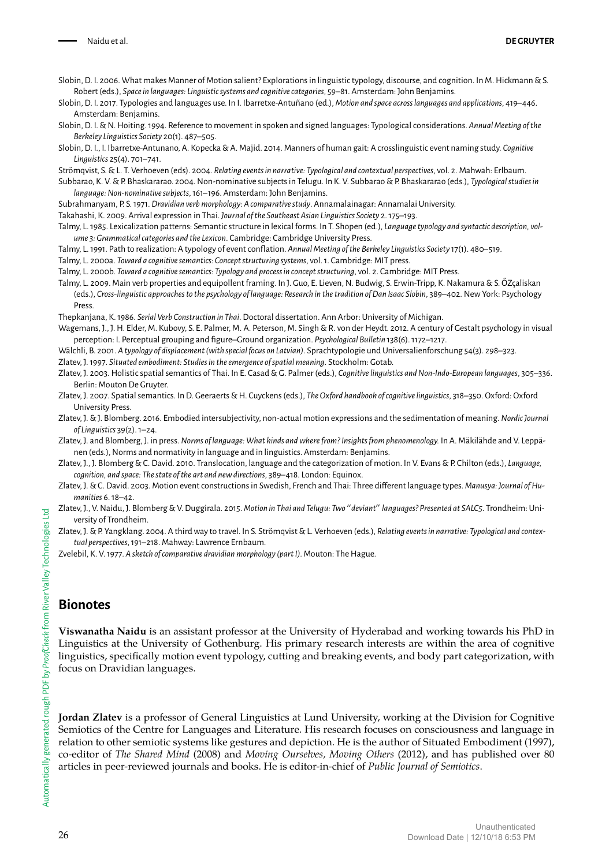Slobin, D. I. 2006. What makes Manner of Motion salient? Explorations in linguistic typology, discourse, and cognition. In M. Hickmann & S. Robert (eds.), *Space in languages: Linguistic systems and cognitive categories*, 59–81. Amsterdam: John Benjamins.

Slobin, D. I. 2017. Typologies and languages use. In I. Ibarretxe-Antuñano (ed.), *Motion and space across languages and applications*, 419–446. Amsterdam: Benjamins.

Slobin, D. I. & N. Hoiting. 1994. Reference to movement in spoken and signed languages: Typological considerations. *Annual Meeting of the Berkeley Linguistics Society* 20(1). 487–505.

Slobin, D. I., I. Ibarretxe-Antunano, A. Kopecka & A. Majid. 2014. Manners of human gait: A crosslinguistic event naming study. *Cognitive Linguistics* 25(4). 701–741.

Strömqvist, S. & L. T. Verhoeven (eds). 2004. *Relating events in narrative: Typological and contextual perspectives*, vol. 2. Mahwah: Erlbaum.

Subbarao, K. V. & P. Bhaskararao. 2004. Non-nominative subjects in Telugu. In K. V. Subbarao & P. Bhaskararao (eds.), *Typological studies in language: Non-nominative subjects*, 161–196. Amsterdam: John Benjamins.

Subrahmanyam, P. S. 1971. *Dravidian verb morphology: A comparative study*. Annamalainagar: Annamalai University.

Takahashi, K. 2009. Arrival expression in Thai. *Journal of the Southeast Asian Linguistics Society* 2. 175–193.

Talmy, L. 1985. Lexicalization patterns: Semantic structure in lexical forms. In T. Shopen (ed.),*Language typology and syntactic description, volume 3: Grammatical categories and the Lexicon*. Cambridge: Cambridge University Press.

Talmy, L. 1991. Path to realization: A typology of event conflation. *Annual Meeting of the Berkeley Linguistics Society* 17(1). 480–519.

Talmy, L. 2000a. *Toward a cognitive semantics: Concept structuring systems*, vol. 1. Cambridge: MIT press.

Talmy, L. 2000b. *Toward a cognitive semantics: Typology and process in concept structuring*, vol. 2. Cambridge: MIT Press.

Talmy, L. 2009. Main verb properties and equipollent framing. In J. Guo, E. Lieven, N. Budwig, S. Erwin-Tripp, K. Nakamura & S. ŐZçaliskan

(eds.), *Cross-linguistic approaches to the psychology of language: Research in the tradition of Dan Isaac Slobin*, 389–402. New York: Psychology Press.

Thepkanjana, K. 1986. *Serial Verb Construction in Thai*. Doctoral dissertation. Ann Arbor: University of Michigan.

Wagemans, J., J. H. Elder, M. Kubovy, S. E. Palmer, M. A. Peterson, M. Singh & R. von der Heydt. 2012. A century of Gestalt psychology in visual perception: I. Perceptual grouping and figure–Ground organization. *Psychological Bulletin* 138(6). 1172–1217.

Wälchli, B. 2001. *A typology of displacement (with special focus on Latvian)*. Sprachtypologie und Universalienforschung 54(3). 298–323.

Zlatev, J. 1997. *Situated embodiment: Studies in the emergence of spatial meaning*. Stockholm: Gotab.

Zlatev, J. 2003. Holistic spatial semantics of Thai. In E. Casad & G. Palmer (eds.), *Cognitive linguistics and Non-Indo-European languages*, 305–336. Berlin: Mouton De Gruyter.

Zlatev, J. 2007. Spatial semantics. In D. Geeraerts & H. Cuyckens (eds.), *The Oxford handbook of cognitive linguistics*, 318–350. Oxford: Oxford University Press.

Zlatev, J. & J. Blomberg. 2016. Embodied intersubjectivity, non-actual motion expressions and the sedimentation of meaning. *Nordic Journal of Linguistics* 39(2). 1–24.

Zlatev, J. and Blomberg, J. in press. *Norms of language: What kinds and where from? Insights from phenomenology.* In A. Mäkilähde and V. Leppänen (eds.), Norms and normativity in language and in linguistics. Amsterdam: Benjamins.

Zlatev, J., J. Blomberg & C. David. 2010. Translocation, language and the categorization of motion. In V. Evans & P. Chilton (eds.),*Language, cognition, and space: The state of the art and new directions*, 389–418. London: Equinox.

Zlatev, J. & C. David. 2003. Motion event constructions in Swedish, French and Thai: Three different language types. *Manusya: Journal of Humanities* 6. 18–42.

Zlatev, J., V. Naidu, J. Blomberg & V. Duggirala. 2015. *Motion in Thai and Telugu: Two* "*deviant*" *languages? Presented at SALC5*. Trondheim: University of Trondheim.

Zlatev, J. & P. Yangklang. 2004. A third way to travel. In S. Strömqvist & L. Verhoeven (eds.), *Relating events in narrative: Typological and contextual perspectives*, 191–218. Mahway: Lawrence Ernbaum.

Zvelebil, K. V. 1977. *A sketch of comparative dravidian morphology (part I)*. Mouton: The Hague.

# **Bionotes**

**Viswanatha Naidu** is an assistant professor at the University of Hyderabad and working towards his PhD in Linguistics at the University of Gothenburg. His primary research interests are within the area of cognitive linguistics, specifically motion event typology, cutting and breaking events, and body part categorization, with focus on Dravidian languages.

**Jordan Zlatev** is a professor of General Linguistics at Lund University, working at the Division for Cognitive Semiotics of the Centre for Languages and Literature. His research focuses on consciousness and language in relation to other semiotic systems like gestures and depiction. He is the author of Situated Embodiment (1997), co-editor of *The Shared Mind* (2008) and *Moving Ourselves, Moving Others* (2012), and has published over 80 articles in peer-reviewed journals and books. He is editor-in-chief of *Public Journal of Semiotics*.

 $E$